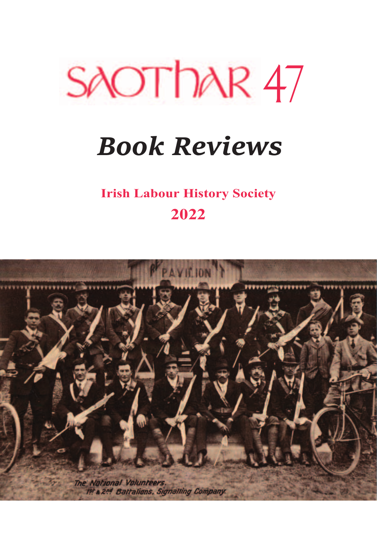

# *Book Reviews*

**Irish Labour History Society 2022**

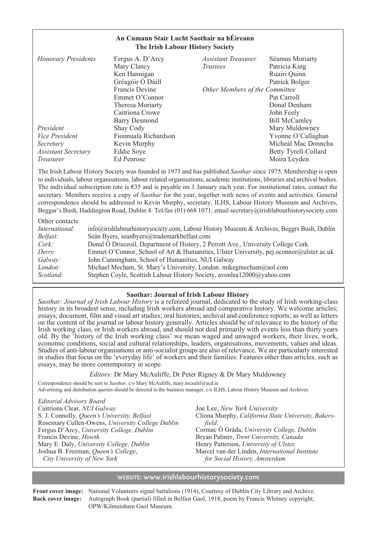## **An Cumann Stair Lucht Saothair na hÉireann The Irish Labour History Society**

| <b>Honorary Presidents</b> | Fergus A. D'Arcy     | Assistant Treasurer            | Séamus Moriarty      |
|----------------------------|----------------------|--------------------------------|----------------------|
|                            | Mary Clancy          | <i>Trustees</i>                | Patricia King        |
|                            | Ken Hannigan         |                                | Ruairi Quinn         |
|                            | Gréagóir Ó Dúill     |                                | Patrick Bolger       |
|                            | Francis Devine       | Other Members of the Committee |                      |
|                            | Emmet O'Connor       |                                | Pat Carroll          |
|                            | Theresa Moriarty     |                                | Donal Denham         |
|                            | Caitriona Crowe      |                                | John Feely           |
|                            | Barry Desmond        |                                | <b>Bill McCamley</b> |
| President                  | Shay Cody            |                                | Mary Muldowney       |
| <i>Vice President</i>      | Fionnuala Richardson |                                | Yvonne O'Callaghan   |
| Secretary                  | Kevin Murphy         |                                | Mícheál Mac Donncha  |
| <b>Assistant Secretary</b> | Eddie Soye           |                                | Betty Tyrell-Collard |
| <i>Treasurer</i>           | Ed Penrose           |                                | Moira Leyden         |

The Irish Labour History Society was founded in 1973 and has published *Saothar* since 1975. Membership is open to individuals, labour organisations, labour related organisations, academic institutions, libraries and archival bodies. The individual subscription rate is €35 and is payable on 1 January each year. For institutional rates, contact the secretary. Members receive a copy of *Saothar* for the year, together with news of events and activities. General correspondence should be addressed to Kevin Murphy, secretary, ILHS, Labour History Museum and Archives, Beggar's Bush, Haddington Road, Dublin 4: Tel/fax (01) 668 1071; email secretary@irishlabourhistorysociety.com

| Other contacts  |                                                                                               |
|-----------------|-----------------------------------------------------------------------------------------------|
| International:  | $info@irishlabourhistory society.com$ , Labour History Museum & Archives, Beggrs Bush, Dublin |
| <i>Belfast:</i> | Seán Byers, seanbyers@trademarkbelfast.com                                                    |
| Cork:           | Donal Ó Drisceoil, Department of History, 2 Perrott Ave., University College Cork             |
| Derry:          | Emmet O'Connor, School of Art & Humanities, Ulster University, pej.oconnor@ulster.ac.uk       |
| Galway:         | John Cunningham, School of Humanities, NUI Galway                                             |
| London:         | Michael Mecham, St. Mary's University, London. mikegmecham@aol.com                            |
| Scotland:       | Stephen Coyle, Scottish Labour History Society, avonlea12000@yahoo.com                        |

## **Saothar: Journal of Irish Labour History**

*Saothar: Journal of Irish Labour History* is a refereed journal, dedicated to the study of Irish working-class history in its broadest sense, including Irish workers abroad and comparative history. We welcome articles; essays; document, film and visual art studies; oral histories; archival and conference reports; as well as letters on the content of the journal or labour history generally. Articles should be of relevance to the history of the Irish working class, or Irish workers abroad, and should not deal primarily with events less than thirty years old. By the 'history of the Irish working class' we mean waged and unwaged workers, their lives, work, economic conditions, social and cultural relationships, leaders, organisations, movements, values and ideas. Studies of anti-labour organisations or anti-socialist groups are also of relevance. We are particularly interested in studies that focus on the 'everyday life' of workers and their families. Features other than articles, such as essays, may be more contemporary in scope.

#### *Editors:* Dr Mary McAuliffe, Dr Peter Rigney & Dr Mary Muldowney

Correspondence should be sent to *Saothar*, c/o Mary McAuliffe, mary.mcaulif@ucd.ie Advertising and distribution queries should be directed to the business manager, c/o ILHS, Labour History Museum and Archives.

*Editorial Advisory Board*  Caitríona Clear, *NUI Galway*  S. J. Connolly, *Queen's University, Belfast* Rosemary Cullen-Owens, *University College Dublin* Fergus D'Arcy, *University College, Dublin* Francis Devine, *Howth* Mary E. Daly, *University College, Dublin*  Joshua B. Freeman, *Queen's College*, *City University of New York*

Joe Lee, *New York University*  Cliona Murphy, *California State University, Bakersfield.*  Cormac Ó Gráda, *University College, Dublin* Bryan Palmer, *Trent University, Canada* Henry Patterson, *University of Ulster,* Marcel van der Linden, *International Institute for Social History, Amsterdam*

## WEBSITE: www.irishlabourhistorysociety.com

**Front cover image:** National Volunteers signal battalions (1914), Courtesy of Dublin City Library and Archive. **Back cover image:** Autograph Book (partial) filled in Belfast Gaol, 1918, poem by Francis Whitney copyright, OPW/Kilmainham Gaol Museum.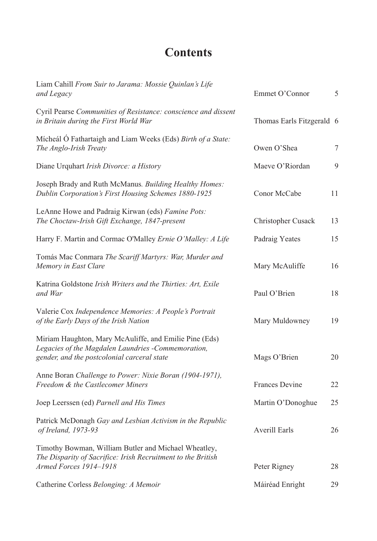# **Contents**

| Liam Cahill From Suir to Jarama: Mossie Quinlan's Life<br>and Legacy                                                                                        | Emmet O'Connor            | 5  |
|-------------------------------------------------------------------------------------------------------------------------------------------------------------|---------------------------|----|
| Cyril Pearse Communities of Resistance: conscience and dissent<br>in Britain during the First World War                                                     | Thomas Earls Fitzgerald 6 |    |
| Micheál Ó Fathartaigh and Liam Weeks (Eds) Birth of a State:<br>The Anglo-Irish Treaty                                                                      | Owen O'Shea               | 7  |
| Diane Urquhart Irish Divorce: a History                                                                                                                     | Maeve O'Riordan           | 9  |
| Joseph Brady and Ruth McManus. Building Healthy Homes:<br>Dublin Corporation's First Housing Schemes 1880-1925                                              | Conor McCabe              | 11 |
| LeAnne Howe and Padraig Kirwan (eds) Famine Pots:<br>The Choctaw-Irish Gift Exchange, 1847-present                                                          | Christopher Cusack        | 13 |
| Harry F. Martin and Cormac O'Malley Ernie O'Malley: A Life                                                                                                  | Padraig Yeates            | 15 |
| Tomás Mac Conmara The Scariff Martyrs: War, Murder and<br>Memory in East Clare                                                                              | Mary McAuliffe            | 16 |
| Katrina Goldstone Irish Writers and the Thirties: Art, Exile<br>and War                                                                                     | Paul O'Brien              | 18 |
| Valerie Cox Independence Memories: A People's Portrait<br>of the Early Days of the Irish Nation                                                             | Mary Muldowney            | 19 |
| Miriam Haughton, Mary McAuliffe, and Emilie Pine (Eds)<br>Legacies of the Magdalen Laundries -Commemoration,<br>gender, and the postcolonial carceral state | Mags O'Brien              | 20 |
| Anne Boran Challenge to Power: Nixie Boran (1904-1971),<br>Freedom & the Castlecomer Miners                                                                 | Frances Devine            | 22 |
| Joep Leerssen (ed) Parnell and His Times                                                                                                                    | Martin O'Donoghue         | 25 |
| Patrick McDonagh Gay and Lesbian Activism in the Republic<br><i>of Ireland, 1973-93</i>                                                                     | <b>Averill Earls</b>      | 26 |
| Timothy Bowman, William Butler and Michael Wheatley,<br>The Disparity of Sacrifice: Irish Recruitment to the British<br>Armed Forces 1914-1918              | Peter Rigney              | 28 |
| Catherine Corless Belonging: A Memoir                                                                                                                       | Máiréad Enright           | 29 |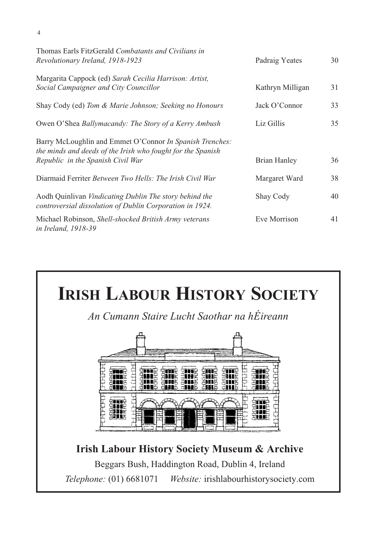| Thomas Earls FitzGerald Combatants and Civilians in<br>Revolutionary Ireland, 1918-1923                                                                      | Padraig Yeates   | 30 |
|--------------------------------------------------------------------------------------------------------------------------------------------------------------|------------------|----|
| Margarita Cappock (ed) Sarah Cecilia Harrison: Artist,<br>Social Campaigner and City Councillor                                                              | Kathryn Milligan | 31 |
| Shay Cody (ed) Tom & Marie Johnson; Seeking no Honours                                                                                                       | Jack O'Connor    | 33 |
| Owen O'Shea Ballymacandy: The Story of a Kerry Ambush                                                                                                        | Liz Gillis       | 35 |
| Barry McLoughlin and Emmet O'Connor In Spanish Trenches:<br>the minds and deeds of the Irish who fought for the Spanish<br>Republic in the Spanish Civil War | Brian Hanley     | 36 |
| Diarmaid Ferriter Between Two Hells: The Irish Civil War                                                                                                     | Margaret Ward    | 38 |
| Aodh Quinlivan Vindicating Dublin The story behind the<br>controversial dissolution of Dublin Corporation in 1924.                                           | Shay Cody        | 40 |
| Michael Robinson, Shell-shocked British Army veterans<br><i>in Ireland, 1918-39</i>                                                                          | Eve Morrison     | 41 |



4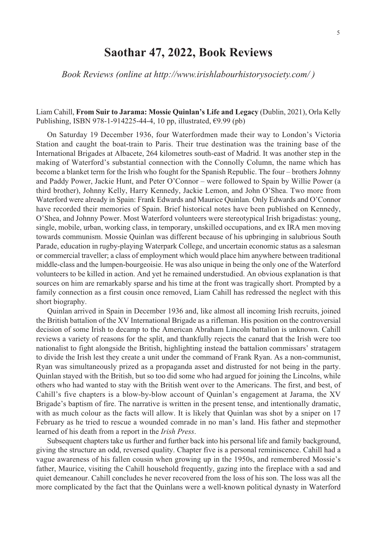## **Saothar 47, 2022, Book Reviews**

*Book Reviews (online at http://www.irishlabourhistorysociety.com/ )* 

Liam Cahill, **From Suir to Jarama: Mossie Quinlan's Life and Legacy** (Dublin, 2021), Orla Kelly Publishing, ISBN 978-1-914225-44-4, 10 pp, illustrated, €9.99 (pb)

On Saturday 19 December 1936, four Waterfordmen made their way to London's Victoria Station and caught the boat-train to Paris. Their true destination was the training base of the International Brigades at Albacete, 264 kilometres south-east of Madrid. It was another step in the making of Waterford's substantial connection with the Connolly Column, the name which has become a blanket term for the Irish who fought for the Spanish Republic. The four – brothers Johnny and Paddy Power, Jackie Hunt, and Peter O'Connor – were followed to Spain by Willie Power (a third brother), Johnny Kelly, Harry Kennedy, Jackie Lemon, and John O'Shea. Two more from Waterford were already in Spain: Frank Edwards and Maurice Quinlan. Only Edwards and O'Connor have recorded their memories of Spain. Brief historical notes have been published on Kennedy, O'Shea, and Johnny Power. Most Waterford volunteers were stereotypical Irish brigadistas: young, single, mobile, urban, working class, in temporary, unskilled occupations, and ex IRA men moving towards communism. Mossie Quinlan was different because of his upbringing in salubrious South Parade, education in rugby-playing Waterpark College, and uncertain economic status as a salesman or commercial traveller; a class of employment which would place him anywhere between traditional middle-class and the lumpen-bourgeoisie. He was also unique in being the only one of the Waterford volunteers to be killed in action. And yet he remained understudied. An obvious explanation is that sources on him are remarkably sparse and his time at the front was tragically short. Prompted by a family connection as a first cousin once removed, Liam Cahill has redressed the neglect with this short biography.

Quinlan arrived in Spain in December 1936 and, like almost all incoming Irish recruits, joined the British battalion of the XV International Brigade as a rifleman. His position on the controversial decision of some Irish to decamp to the American Abraham Lincoln battalion is unknown. Cahill reviews a variety of reasons for the split, and thankfully rejects the canard that the Irish were too nationalist to fight alongside the British, highlighting instead the battalion commissars' stratagem to divide the Irish lest they create a unit under the command of Frank Ryan. As a non-communist, Ryan was simultaneously prized as a propaganda asset and distrusted for not being in the party. Quinlan stayed with the British, but so too did some who had argued for joining the Lincolns, while others who had wanted to stay with the British went over to the Americans. The first, and best, of Cahill's five chapters is a blow-by-blow account of Quinlan's engagement at Jarama, the XV Brigade's baptism of fire. The narrative is written in the present tense, and intentionally dramatic, with as much colour as the facts will allow. It is likely that Quinlan was shot by a sniper on 17 February as he tried to rescue a wounded comrade in no man's land. His father and stepmother learned of his death from a report in the *Irish Press*.

Subsequent chapters take us further and further back into his personal life and family background, giving the structure an odd, reversed quality. Chapter five is a personal reminiscence. Cahill had a vague awareness of his fallen cousin when growing up in the 1950s, and remembered Mossie's father, Maurice, visiting the Cahill household frequently, gazing into the fireplace with a sad and quiet demeanour. Cahill concludes he never recovered from the loss of his son. The loss was all the more complicated by the fact that the Quinlans were a well-known political dynasty in Waterford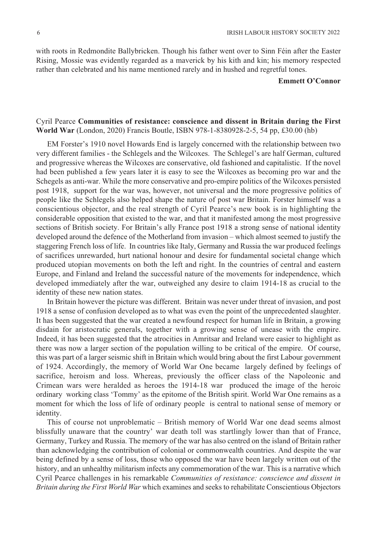with roots in Redmondite Ballybricken. Though his father went over to Sinn Féin after the Easter Rising, Mossie was evidently regarded as a maverick by his kith and kin; his memory respected rather than celebrated and his name mentioned rarely and in hushed and regretful tones.

## **Emmett O'Connor**

## Cyril Pearce **Communities of resistance: conscience and dissent in Britain during the First World War** (London, 2020) Francis Boutle, ISBN 978-1-8380928-2-5, 54 pp, £30.00 (hb)

EM Forster's 1910 novel Howards End is largely concerned with the relationship between two very different families - the Schlegels and the Wilcoxes. The Schlegel's are half German, cultured and progressive whereas the Wilcoxes are conservative, old fashioned and capitalistic. If the novel had been published a few years later it is easy to see the Wilcoxes as becoming pro war and the Schegels as anti-war. While the more conservative and pro-empire politics of the Wilcoxes persisted post 1918, support for the war was, however, not universal and the more progressive politics of people like the Schlegels also helped shape the nature of post war Britain. Forster himself was a conscientious objector, and the real strength of Cyril Pearce's new book is in highlighting the considerable opposition that existed to the war, and that it manifested among the most progressive sections of British society. For Britain's ally France post 1918 a strong sense of national identity developed around the defence of the Motherland from invasion – which almost seemed to justify the staggering French loss of life. In countries like Italy, Germany and Russia the war produced feelings of sacrifices unrewarded, hurt national honour and desire for fundamental societal change which produced utopian movements on both the left and right. In the countries of central and eastern Europe, and Finland and Ireland the successful nature of the movements for independence, which developed immediately after the war, outweighed any desire to claim 1914-18 as crucial to the identity of these new nation states.

In Britain however the picture was different. Britain was never under threat of invasion, and post 1918 a sense of confusion developed as to what was even the point of the unprecedented slaughter. It has been suggested that the war created a newfound respect for human life in Britain, a growing disdain for aristocratic generals, together with a growing sense of unease with the empire. Indeed, it has been suggested that the atrocities in Amritsar and Ireland were easier to highlight as there was now a larger section of the population willing to be critical of the empire. Of course, this was part of a larger seismic shift in Britain which would bring about the first Labour government of 1924. Accordingly, the memory of World War One became largely defined by feelings of sacrifice, heroism and loss. Whereas, previously the officer class of the Napoleonic and Crimean wars were heralded as heroes the 1914-18 war produced the image of the heroic ordinary working class 'Tommy' as the epitome of the British spirit. World War One remains as a moment for which the loss of life of ordinary people is central to national sense of memory or identity.

This of course not unproblematic – British memory of World War one dead seems almost blissfully unaware that the country' war death toll was startlingly lower than that of France, Germany, Turkey and Russia. The memory of the war has also centred on the island of Britain rather than acknowledging the contribution of colonial or commonwealth countries. And despite the war being defined by a sense of loss, those who opposed the war have been largely written out of the history, and an unhealthy militarism infects any commemoration of the war. This is a narrative which Cyril Pearce challenges in his remarkable *Communities of resistance: conscience and dissent in Britain during the First World War* which examines and seeks to rehabilitate Conscientious Objectors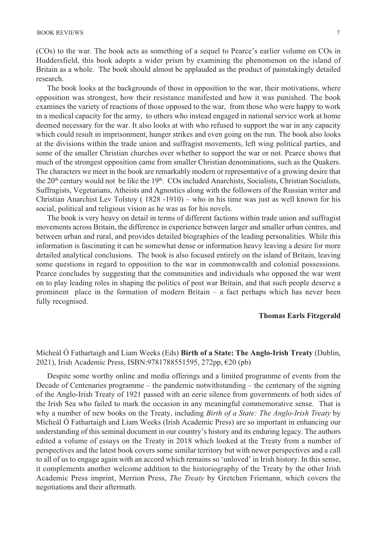The book looks at the backgrounds of those in opposition to the war, their motivations, where opposition was strongest, how their resistance manifested and how it was punished. The book examines the variety of reactions of those opposed to the war, from those who were happy to work in a medical capacity for the army, to others who instead engaged in national service work at home deemed necessary for the war. It also looks at with who refused to support the war in any capacity which could result in imprisonment, hunger strikes and even going on the run. The book also looks at the divisions within the trade union and suffragist movements, left wing political parties, and some of the smaller Christian churches over whether to support the war or not. Pearce shows that much of the strongest opposition came from smaller Christian denominations, such as the Quakers. The characters we meet in the book are remarkably modern or representative of a growing desire that the 20<sup>th</sup> century would not be like the 19<sup>th</sup>. COs included Anarchists, Socialists, Christian Socialists, Suffragists, Vegetarians, Atheists and Agnostics along with the followers of the Russian writer and Christian Anarchist Lev Tolstoy ( 1828 -1910) – who in his time was just as well known for his social, political and religious vision as he was as for his novels.

The book is very heavy on detail in terms of different factions within trade union and suffragist movements across Britain, the difference in experience between larger and smaller urban centres, and between urban and rural, and provides detailed biographies of the leading personalities. While this information is fascinating it can be somewhat dense or information heavy leaving a desire for more detailed analytical conclusions. The book is also focused entirely on the island of Britain, leaving some questions in regard to opposition to the war in commonwealth and colonial possessions. Pearce concludes by suggesting that the communities and individuals who opposed the war went on to play leading roles in shaping the politics of post war Britain, and that such people deserve a prominent place in the formation of modern Britain – a fact perhaps which has never been fully recognised.

## **Thomas Earls Fitzgerald**

Mícheál Ó Fathartaigh and Liam Weeks (Eds) **Birth of a State: The Anglo-Irish Treaty** (Dublin, 2021), Irish Academic Press, ISBN:9781788551595, 272pp, €20 (pb)

Despite some worthy online and media offerings and a limited programme of events from the Decade of Centenaries programme – the pandemic notwithstanding – the centenary of the signing of the Anglo-Irish Treaty of 1921 passed with an eerie silence from governments of both sides of the Irish Sea who failed to mark the occasion in any meaningful commemorative sense. That is why a number of new books on the Treaty, including *Birth of a State: The Anglo-Irish Treaty* by Mícheál Ó Fathartaigh and Liam Weeks (Irish Academic Press) are so important in enhancing our understanding of this seminal document in our country's history and its enduring legacy. The authors edited a volume of essays on the Treaty in 2018 which looked at the Treaty from a number of perspectives and the latest book covers some similar territory but with newer perspectives and a call to all of us to engage again with an accord which remains so 'unloved' in Irish history. In this sense, it complements another welcome addition to the historiography of the Treaty by the other Irish Academic Press imprint, Merrion Press, *The Treaty* by Gretchen Friemann, which covers the negotiations and their aftermath.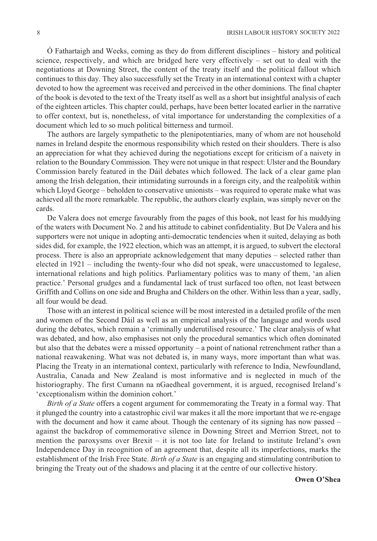Ó Fathartaigh and Weeks, coming as they do from different disciplines – history and political science, respectively, and which are bridged here very effectively – set out to deal with the negotiations at Downing Street, the content of the treaty itself and the political fallout which continues to this day. They also successfully set the Treaty in an international context with a chapter devoted to how the agreement was received and perceived in the other dominions. The final chapter of the book is devoted to the text of the Treaty itself as well as a short but insightful analysis of each of the eighteen articles. This chapter could, perhaps, have been better located earlier in the narrative to offer context, but is, nonetheless, of vital importance for understanding the complexities of a document which led to so much political bitterness and turmoil.

The authors are largely sympathetic to the plenipotentiaries, many of whom are not household names in Ireland despite the enormous responsibility which rested on their shoulders. There is also an appreciation for what they achieved during the negotiations except for criticism of a naivety in relation to the Boundary Commission. They were not unique in that respect: Ulster and the Boundary Commission barely featured in the Dáil debates which followed. The lack of a clear game plan among the Irish delegation, their intimidating surrounds in a foreign city, and the realpolitik within which Lloyd George – beholden to conservative unionists – was required to operate make what was achieved all the more remarkable. The republic, the authors clearly explain, was simply never on the cards.

De Valera does not emerge favourably from the pages of this book, not least for his muddying of the waters with Document No. 2 and his attitude to cabinet confidentiality. But De Valera and his supporters were not unique in adopting anti-democratic tendencies when it suited, delaying as both sides did, for example, the 1922 election, which was an attempt, it is argued, to subvert the electoral process. There is also an appropriate acknowledgement that many deputies – selected rather than elected in 1921 – including the twenty-four who did not speak, were unaccustomed to legalese, international relations and high politics. Parliamentary politics was to many of them, 'an alien practice.' Personal grudges and a fundamental lack of trust surfaced too often, not least between Griffith and Collins on one side and Brugha and Childers on the other. Within less than a year, sadly, all four would be dead.

Those with an interest in political science will be most interested in a detailed profile of the men and women of the Second Dáil as well as an empirical analysis of the language and words used during the debates, which remain a 'criminally underutilised resource.' The clear analysis of what was debated, and how, also emphasises not only the procedural semantics which often dominated but also that the debates were a missed opportunity – a point of national retrenchment rather than a national reawakening. What was not debated is, in many ways, more important than what was. Placing the Treaty in an international context, particularly with reference to India, Newfoundland, Australia, Canada and New Zealand is most informative and is neglected in much of the historiography. The first Cumann na nGaedheal government, it is argued, recognised Ireland's 'exceptionalism within the dominion cohort.'

*Birth of a State* offers a cogent argument for commemorating the Treaty in a formal way. That it plunged the country into a catastrophic civil war makes it all the more important that we re-engage with the document and how it came about. Though the centenary of its signing has now passed – against the backdrop of commemorative silence in Downing Street and Merrion Street, not to mention the paroxysms over Brexit – it is not too late for Ireland to institute Ireland's own Independence Day in recognition of an agreement that, despite all its imperfections, marks the establishment of the Irish Free State. *Birth of a State* is an engaging and stimulating contribution to bringing the Treaty out of the shadows and placing it at the centre of our collective history.

#### **Owen O'Shea**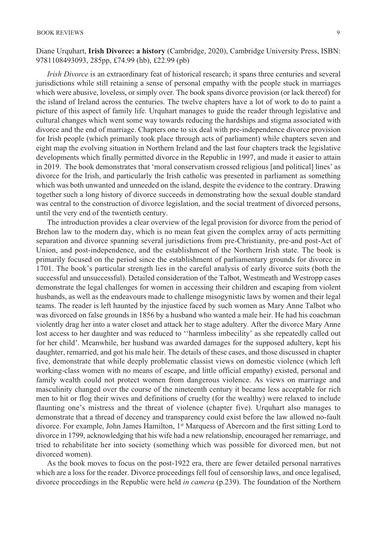Diane Urquhart, **Irish Divorce: a history** (Cambridge, 2020), Cambridge University Press, ISBN: 9781108493093, 285pp, £74.99 (hb), £22.99 (pb)

*Irish Divorce* is an extraordinary feat of historical research; it spans three centuries and several jurisdictions while still retaining a sense of personal empathy with the people stuck in marriages which were abusive, loveless, or simply over. The book spans divorce provision (or lack thereof) for the island of Ireland across the centuries. The twelve chapters have a lot of work to do to paint a picture of this aspect of family life. Urquhart manages to guide the reader through legislative and cultural changes which went some way towards reducing the hardships and stigma associated with divorce and the end of marriage. Chapters one to six deal with pre-independence divorce provision for Irish people (which primarily took place through acts of parliament) while chapters seven and eight map the evolving situation in Northern Ireland and the last four chapters track the legislative developments which finally permitted divorce in the Republic in 1997, and made it easier to attain in 2019. The book demonstrates that 'moral conservatism crossed religious [and political] lines' as divorce for the Irish, and particularly the Irish catholic was presented in parliament as something which was both unwanted and unneeded on the island, despite the evidence to the contrary. Drawing together such a long history of divorce succeeds in demonstrating how the sexual double standard was central to the construction of divorce legislation, and the social treatment of divorced persons, until the very end of the twentieth century.

The introduction provides a clear overview of the legal provision for divorce from the period of Brehon law to the modern day, which is no mean feat given the complex array of acts permitting separation and divorce spanning several jurisdictions from pre-Christianity, pre-and post-Act of Union, and post-independence, and the establishment of the Northern Irish state. The book is primarily focused on the period since the establishment of parliamentary grounds for divorce in 1701. The book's particular strength lies in the careful analysis of early divorce suits (both the successful and unsuccessful). Detailed consideration of the Talbot, Westmeath and Westropp cases demonstrate the legal challenges for women in accessing their children and escaping from violent husbands, as well as the endeavours made to challenge misogynistic laws by women and their legal teams. The reader is left haunted by the injustice faced by such women as Mary Anne Talbot who was divorced on false grounds in 1856 by a husband who wanted a male heir. He had his coachman violently drag her into a water closet and attack her to stage adultery. After the divorce Mary Anne lost access to her daughter and was reduced to ''harmless imbecility' as she repeatedly called out for her child'. Meanwhile, her husband was awarded damages for the supposed adultery, kept his daughter, remarried, and got his male heir. The details of these cases, and those discussed in chapter five, demonstrate that while deeply problematic classist views on domestic violence (which left working-class women with no means of escape, and little official empathy) existed, personal and family wealth could not protect women from dangerous violence. As views on marriage and masculinity changed over the course of the nineteenth century it became less acceptable for rich men to hit or flog their wives and definitions of cruelty (for the wealthy) were relaxed to include flaunting one's mistress and the threat of violence (chapter five). Urquhart also manages to demonstrate that a thread of decency and transparency could exist before the law allowed no-fault divorce. For example, John James Hamilton, 1<sup>st</sup> Marquess of Abercorn and the first sitting Lord to divorce in 1799, acknowledging that his wife had a new relationship, encouraged her remarriage, and tried to rehabilitate her into society (something which was possible for divorced men, but not divorced women).

As the book moves to focus on the post-1922 era, there are fewer detailed personal narratives which are a loss for the reader. Divorce proceedings fell foul of censorship laws, and once legalised, divorce proceedings in the Republic were held *in camera* (p.239). The foundation of the Northern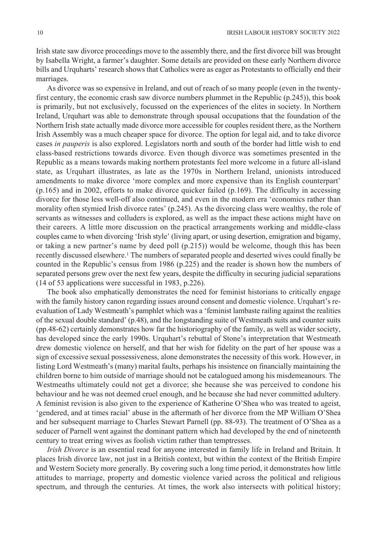Irish state saw divorce proceedings move to the assembly there, and the first divorce bill was brought by Isabella Wright, a farmer's daughter. Some details are provided on these early Northern divorce bills and Urquharts' research shows that Catholics were as eager as Protestants to officially end their marriages.

As divorce was so expensive in Ireland, and out of reach of so many people (even in the twentyfirst century, the economic crash saw divorce numbers plummet in the Republic (p.245)), this book is primarily, but not exclusively, focussed on the experiences of the elites in society. In Northern Ireland, Urquhart was able to demonstrate through spousal occupations that the foundation of the Northern Irish state actually made divorce more accessible for couples resident there, as the Northern Irish Assembly was a much cheaper space for divorce. The option for legal aid, and to take divorce cases *in pauperis* is also explored. Legislators north and south of the border had little wish to end class-based restrictions towards divorce. Even though divorce was sometimes presented in the Republic as a means towards making northern protestants feel more welcome in a future all-island state, as Urquhart illustrates, as late as the 1970s in Northern Ireland, unionists introduced amendments to make divorce 'more complex and more expensive than its English counterpart' (p.165) and in 2002, efforts to make divorce quicker failed (p.169). The difficulty in accessing divorce for those less well-off also continued, and even in the modern era 'economics rather than morality often stymied Irish divorce rates' (p.245). As the divorcing class were wealthy, the role of servants as witnesses and colluders is explored, as well as the impact these actions might have on their careers. A little more discussion on the practical arrangements working and middle-class couples came to when divorcing 'Irish style' (living apart, or using desertion, emigration and bigamy, or taking a new partner's name by deed poll (p.215)) would be welcome, though this has been recently discussed elsewhere.1 The numbers of separated people and deserted wives could finally be counted in the Republic's census from 1986 (p.225) and the reader is shown how the numbers of separated persons grew over the next few years, despite the difficulty in securing judicial separations (14 of 53 applications were successful in 1983, p.226).

The book also emphatically demonstrates the need for feminist historians to critically engage with the family history canon regarding issues around consent and domestic violence. Urquhart's reevaluation of Lady Westmeath's pamphlet which was a 'feminist lambaste railing against the realities of the sexual double standard' (p.48), and the longstanding suite of Westmeath suits and counter suits (pp.48-62) certainly demonstrates how far the historiography of the family, as well as wider society, has developed since the early 1990s. Urquhart's rebuttal of Stone's interpretation that Westmeath drew domestic violence on herself, and that her wish for fidelity on the part of her spouse was a sign of excessive sexual possessiveness, alone demonstrates the necessity of this work. However, in listing Lord Westmeath's (many) marital faults, perhaps his insistence on financially maintaining the children borne to him outside of marriage should not be catalogued among his misdemeanours. The Westmeaths ultimately could not get a divorce; she because she was perceived to condone his behaviour and he was not deemed cruel enough, and he because she had never committed adultery. A feminist revision is also given to the experience of Katherine O'Shea who was treated to ageist, 'gendered, and at times racial' abuse in the aftermath of her divorce from the MP William O'Shea and her subsequent marriage to Charles Stewart Parnell (pp. 88-93). The treatment of O'Shea as a seducer of Parnell went against the dominant pattern which had developed by the end of nineteenth century to treat erring wives as foolish victim rather than temptresses.

*Irish Divorce* is an essential read for anyone interested in family life in Ireland and Britain. It places Irish divorce law, not just in a British context, but within the context of the British Empire and Western Society more generally. By covering such a long time period, it demonstrates how little attitudes to marriage, property and domestic violence varied across the political and religious spectrum, and through the centuries. At times, the work also intersects with political history;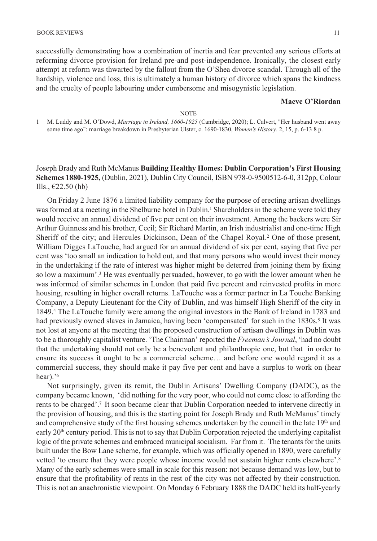successfully demonstrating how a combination of inertia and fear prevented any serious efforts at reforming divorce provision for Ireland pre-and post-independence. Ironically, the closest early attempt at reform was thwarted by the fallout from the O'Shea divorce scandal. Through all of the hardship, violence and loss, this is ultimately a human history of divorce which spans the kindness and the cruelty of people labouring under cumbersome and misogynistic legislation.

#### **Maeve O'Riordan**

#### NOTE

1 M. Luddy and M. O'Dowd, *Marriage in Ireland, 1660-1925* (Cambridge, 2020); L. Calvert, "Her husband went away some time ago": marriage breakdown in Presbyterian Ulster, c. 1690-1830, *Women's History*. 2, 15, p. 6-13 8 p.

Joseph Brady and Ruth McManus **Building Healthy Homes: Dublin Corporation's First Housing Schemes 1880-1925,** (Dublin, 2021), Dublin City Council, ISBN 978-0-9500512-6-0, 312pp, Colour Ills.,  $\epsilon$ 22.50 (hb)

On Friday 2 June 1876 a limited liability company for the purpose of erecting artisan dwellings was formed at a meeting in the Shelburne hotel in Dublin.<sup>1</sup> Shareholders in the scheme were told they would receive an annual dividend of five per cent on their investment. Among the backers were Sir Arthur Guinness and his brother, Cecil; Sir Richard Martin, an Irish industrialist and one-time High Sheriff of the city; and Hercules Dickinson, Dean of the Chapel Royal.2 One of those present, William Digges LaTouche, had argued for an annual dividend of six per cent, saying that five per cent was 'too small an indication to hold out, and that many persons who would invest their money in the undertaking if the rate of interest was higher might be deterred from joining them by fixing so low a maximum'.3 He was eventually persuaded, however, to go with the lower amount when he was informed of similar schemes in London that paid five percent and reinvested profits in more housing, resulting in higher overall returns. LaTouche was a former partner in La Touche Banking Company, a Deputy Lieutenant for the City of Dublin, and was himself High Sheriff of the city in 1849.4 The LaTouche family were among the original investors in the Bank of Ireland in 1783 and had previously owned slaves in Jamaica, having been 'compensated' for such in the 1830s.<sup>5</sup> It was not lost at anyone at the meeting that the proposed construction of artisan dwellings in Dublin was to be a thoroughly capitalist venture. 'The Chairman' reported the *Freeman's Journal*, 'had no doubt that the undertaking should not only be a benevolent and philanthropic one, but that in order to ensure its success it ought to be a commercial scheme… and before one would regard it as a commercial success, they should make it pay five per cent and have a surplus to work on (hear hear).'<sup>6</sup>

Not surprisingly, given its remit, the Dublin Artisans' Dwelling Company (DADC), as the company became known, 'did nothing for the very poor, who could not come close to affording the rents to be charged'.7 It soon became clear that Dublin Corporation needed to intervene directly in the provision of housing, and this is the starting point for Joseph Brady and Ruth McManus' timely and comprehensive study of the first housing schemes undertaken by the council in the late  $19<sup>th</sup>$  and early 20<sup>th</sup> century period. This is not to say that Dublin Corporation rejected the underlying capitalist logic of the private schemes and embraced municipal socialism. Far from it. The tenants for the units built under the Bow Lane scheme, for example, which was officially opened in 1890, were carefully vetted 'to ensure that they were people whose income would not sustain higher rents elsewhere'.<sup>8</sup> Many of the early schemes were small in scale for this reason: not because demand was low, but to ensure that the profitability of rents in the rest of the city was not affected by their construction. This is not an anachronistic viewpoint. On Monday 6 February 1888 the DADC held its half-yearly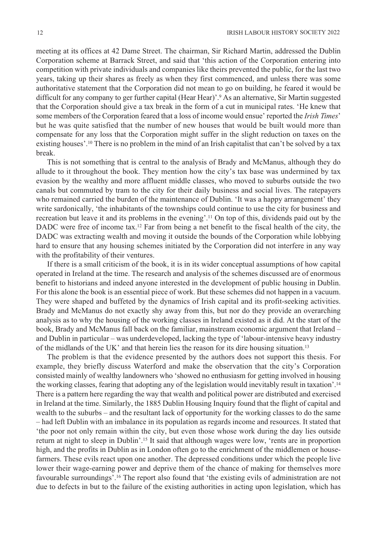meeting at its offices at 42 Dame Street. The chairman, Sir Richard Martin, addressed the Dublin Corporation scheme at Barrack Street, and said that 'this action of the Corporation entering into competition with private individuals and companies like theirs prevented the public, for the last two years, taking up their shares as freely as when they first commenced, and unless there was some authoritative statement that the Corporation did not mean to go on building, he feared it would be difficult for any company to ger further capital (Hear Hear)'.9 As an alternative, Sir Martin suggested that the Corporation should give a tax break in the form of a cut in municipal rates. 'He knew that some members of the Corporation feared that a loss of income would ensue' reported the *Irish Times*' but he was quite satisfied that the number of new houses that would be built would more than compensate for any loss that the Corporation might suffer in the slight reduction on taxes on the existing houses'.10 There is no problem in the mind of an Irish capitalist that can't be solved by a tax break.

This is not something that is central to the analysis of Brady and McManus, although they do allude to it throughout the book. They mention how the city's tax base was undermined by tax evasion by the wealthy and more affluent middle classes, who moved to suburbs outside the two canals but commuted by tram to the city for their daily business and social lives. The ratepayers who remained carried the burden of the maintenance of Dublin. 'It was a happy arrangement' they write sardonically, 'the inhabitants of the townships could continue to use the city for business and recreation but leave it and its problems in the evening'.11 On top of this, dividends paid out by the DADC were free of income tax.<sup>12</sup> Far from being a net benefit to the fiscal health of the city, the DADC was extracting wealth and moving it outside the bounds of the Corporation while lobbying hard to ensure that any housing schemes initiated by the Corporation did not interfere in any way with the profitability of their ventures.

If there is a small criticism of the book, it is in its wider conceptual assumptions of how capital operated in Ireland at the time. The research and analysis of the schemes discussed are of enormous benefit to historians and indeed anyone interested in the development of public housing in Dublin. For this alone the book is an essential piece of work. But these schemes did not happen in a vacuum. They were shaped and buffeted by the dynamics of Irish capital and its profit-seeking activities. Brady and McManus do not exactly shy away from this, but nor do they provide an overarching analysis as to why the housing of the working classes in Ireland existed as it did. At the start of the book, Brady and McManus fall back on the familiar, mainstream economic argument that Ireland – and Dublin in particular – was underdeveloped, lacking the type of 'labour-intensive heavy industry of the midlands of the UK' and that herein lies the reason for its dire housing situation.13

The problem is that the evidence presented by the authors does not support this thesis. For example, they briefly discuss Waterford and make the observation that the city's Corporation consisted mainly of wealthy landowners who 'showed no enthusiasm for getting involved in housing the working classes, fearing that adopting any of the legislation would inevitably result in taxation'.14 There is a pattern here regarding the way that wealth and political power are distributed and exercised in Ireland at the time. Similarly, the 1885 Dublin Housing Inquiry found that the flight of capital and wealth to the suburbs – and the resultant lack of opportunity for the working classes to do the same – had left Dublin with an imbalance in its population as regards income and resources. It stated that 'the poor not only remain within the city, but even those whose work during the day lies outside return at night to sleep in Dublin'.15 It said that although wages were low, 'rents are in proportion high, and the profits in Dublin as in London often go to the enrichment of the middlemen or housefarmers. These evils react upon one another. The depressed conditions under which the people live lower their wage-earning power and deprive them of the chance of making for themselves more favourable surroundings'.16 The report also found that 'the existing evils of administration are not due to defects in but to the failure of the existing authorities in acting upon legislation, which has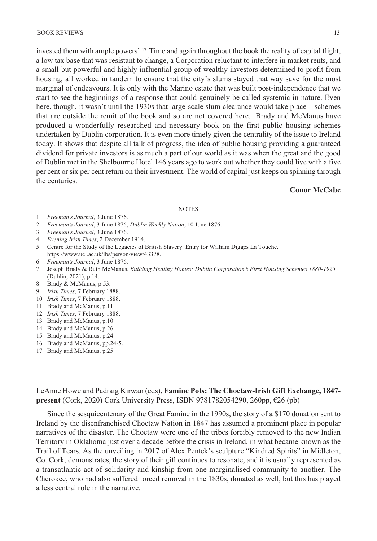invested them with ample powers'.17 Time and again throughout the book the reality of capital flight, a low tax base that was resistant to change, a Corporation reluctant to interfere in market rents, and a small but powerful and highly influential group of wealthy investors determined to profit from housing, all worked in tandem to ensure that the city's slums stayed that way save for the most marginal of endeavours. It is only with the Marino estate that was built post-independence that we start to see the beginnings of a response that could genuinely be called systemic in nature. Even here, though, it wasn't until the 1930s that large-scale slum clearance would take place – schemes that are outside the remit of the book and so are not covered here. Brady and McManus have produced a wonderfully researched and necessary book on the first public housing schemes undertaken by Dublin corporation. It is even more timely given the centrality of the issue to Ireland today. It shows that despite all talk of progress, the idea of public housing providing a guaranteed dividend for private investors is as much a part of our world as it was when the great and the good of Dublin met in the Shelbourne Hotel 146 years ago to work out whether they could live with a five per cent or six per cent return on their investment. The world of capital just keeps on spinning through the centuries.

## **Conor McCabe**

#### **NOTES**

- 1 *Freeman's Journal*, 3 June 1876.
- 2 *Freeman's Journal*, 3 June 1876; *Dublin Weekly Nation*, 10 June 1876.
- 3 *Freeman's Journal*, 3 June 1876.
- 4 *Evening Irish Times*, 2 December 1914.
- 5 Centre for the Study of the Legacies of British Slavery. Entry for William Digges La Touche. https://www.ucl.ac.uk/lbs/person/view/43378.
- 6 *Freeman's Journal*, 3 June 1876.
- 7 Joseph Brady & Ruth McManus, *Building Healthy Homes: Dublin Corporation's First Housing Schemes 1880-1925* (Dublin, 2021), p.14.
- 8 Brady & McManus, p.53.
- 9 *Irish Times*, 7 February 1888.
- 10 *Irish Times*, 7 February 1888.
- 11 Brady and McManus, p.11.
- 12 *Irish Times*, 7 February 1888.
- 13 Brady and McManus, p.10.
- 14 Brady and McManus, p.26.
- 15 Brady and McManus, p.24.
- 16 Brady and McManus, pp.24-5.
- 17 Brady and McManus, p.25.

LeAnne Howe and Padraig Kirwan (eds), **Famine Pots: The Choctaw-Irish Gift Exchange, 1847 present** (Cork, 2020) Cork University Press, ISBN 9781782054290, 260pp, €26 (pb)

Since the sesquicentenary of the Great Famine in the 1990s, the story of a \$170 donation sent to Ireland by the disenfranchised Choctaw Nation in 1847 has assumed a prominent place in popular narratives of the disaster. The Choctaw were one of the tribes forcibly removed to the new Indian Territory in Oklahoma just over a decade before the crisis in Ireland, in what became known as the Trail of Tears. As the unveiling in 2017 of Alex Pentek's sculpture "Kindred Spirits" in Midleton, Co. Cork, demonstrates, the story of their gift continues to resonate, and it is usually represented as a transatlantic act of solidarity and kinship from one marginalised community to another. The Cherokee, who had also suffered forced removal in the 1830s, donated as well, but this has played a less central role in the narrative.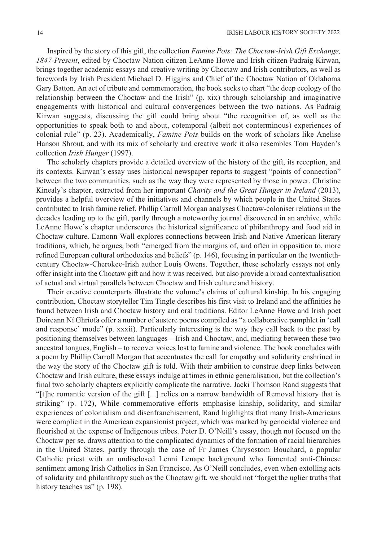Inspired by the story of this gift, the collection *Famine Pots: The Choctaw-Irish Gift Exchange, 1847-Present*, edited by Choctaw Nation citizen LeAnne Howe and Irish citizen Padraig Kirwan, brings together academic essays and creative writing by Choctaw and Irish contributors, as well as forewords by Irish President Michael D. Higgins and Chief of the Choctaw Nation of Oklahoma Gary Batton. An act of tribute and commemoration, the book seeks to chart "the deep ecology of the relationship between the Choctaw and the Irish" (p. xix) through scholarship and imaginative engagements with historical and cultural convergences between the two nations. As Padraig Kirwan suggests, discussing the gift could bring about "the recognition of, as well as the opportunities to speak both to and about, cotemporal (albeit not conterminous) experiences of colonial rule" (p. 23). Academically, *Famine Pots* builds on the work of scholars like Anelise Hanson Shrout, and with its mix of scholarly and creative work it also resembles Tom Hayden's collection *Irish Hunger* (1997).

The scholarly chapters provide a detailed overview of the history of the gift, its reception, and its contexts. Kirwan's essay uses historical newspaper reports to suggest "points of connection" between the two communities, such as the way they were represented by those in power. Christine Kinealy's chapter, extracted from her important *Charity and the Great Hunger in Ireland* (2013), provides a helpful overview of the initiatives and channels by which people in the United States contributed to Irish famine relief. Phillip Carroll Morgan analyses Choctaw-coloniser relations in the decades leading up to the gift, partly through a noteworthy journal discovered in an archive, while LeAnne Howe's chapter underscores the historical significance of philanthropy and food aid in Choctaw culture. Eamonn Wall explores connections between Irish and Native American literary traditions, which, he argues, both "emerged from the margins of, and often in opposition to, more refined European cultural orthodoxies and beliefs" (p. 146), focusing in particular on the twentiethcentury Choctaw-Cherokee-Irish author Louis Owens. Together, these scholarly essays not only offer insight into the Choctaw gift and how it was received, but also provide a broad contextualisation of actual and virtual parallels between Choctaw and Irish culture and history.

Their creative counterparts illustrate the volume's claims of cultural kinship. In his engaging contribution, Choctaw storyteller Tim Tingle describes his first visit to Ireland and the affinities he found between Irish and Choctaw history and oral traditions. Editor LeAnne Howe and Irish poet Doireann Ní Ghríofa offer a number of austere poems compiled as "a collaborative pamphlet in 'call and response' mode" (p. xxxii). Particularly interesting is the way they call back to the past by positioning themselves between languages – Irish and Choctaw, and, mediating between these two ancestral tongues, English – to recover voices lost to famine and violence. The book concludes with a poem by Phillip Carroll Morgan that accentuates the call for empathy and solidarity enshrined in the way the story of the Choctaw gift is told. With their ambition to construe deep links between Choctaw and Irish culture, these essays indulge at times in ethnic generalisation, but the collection's final two scholarly chapters explicitly complicate the narrative. Jacki Thomson Rand suggests that "[t]he romantic version of the gift [...] relies on a narrow bandwidth of Removal history that is striking" (p. 172), While commemorative efforts emphasise kinship, solidarity, and similar experiences of colonialism and disenfranchisement, Rand highlights that many Irish-Americans were complicit in the American expansionist project, which was marked by genocidal violence and flourished at the expense of Indigenous tribes. Peter D. O'Neill's essay, though not focused on the Choctaw per se, draws attention to the complicated dynamics of the formation of racial hierarchies in the United States, partly through the case of Fr James Chrysostom Bouchard, a popular Catholic priest with an undisclosed Lenni Lenape background who fomented anti-Chinese sentiment among Irish Catholics in San Francisco. As O'Neill concludes, even when extolling acts of solidarity and philanthropy such as the Choctaw gift, we should not "forget the uglier truths that history teaches us" (p. 198).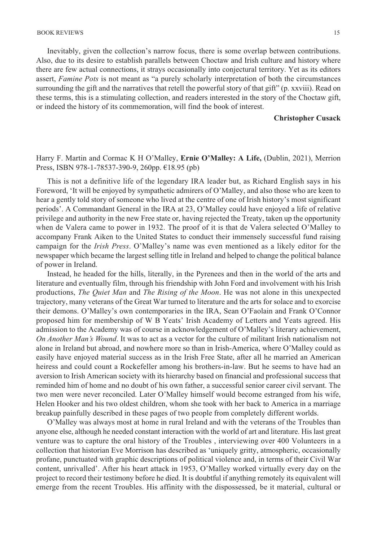Inevitably, given the collection's narrow focus, there is some overlap between contributions. Also, due to its desire to establish parallels between Choctaw and Irish culture and history where there are few actual connections, it strays occasionally into conjectural territory. Yet as its editors assert, *Famine Pots* is not meant as "a purely scholarly interpretation of both the circumstances surrounding the gift and the narratives that retell the powerful story of that gift" (p. xxviii). Read on these terms, this is a stimulating collection, and readers interested in the story of the Choctaw gift, or indeed the history of its commemoration, will find the book of interest.

#### **Christopher Cusack**

## Harry F. Martin and Cormac K H O'Malley, **Ernie O'Malley: A Life,** (Dublin, 2021), Merrion Press, ISBN 978-1-78537-390-9, 260pp. €18.95 (pb)

This is not a definitive life of the legendary IRA leader but, as Richard English says in his Foreword, 'It will be enjoyed by sympathetic admirers of O'Malley, and also those who are keen to hear a gently told story of someone who lived at the centre of one of Irish history's most significant periods'. A Commandant General in the IRA at 23, O'Malley could have enjoyed a life of relative privilege and authority in the new Free state or, having rejected the Treaty, taken up the opportunity when de Valera came to power in 1932. The proof of it is that de Valera selected O'Malley to accompany Frank Aiken to the United States to conduct their immensely successful fund raising campaign for the *Irish Press*. O'Malley's name was even mentioned as a likely editor for the newspaper which became the largest selling title in Ireland and helped to change the political balance of power in Ireland.

Instead, he headed for the hills, literally, in the Pyrenees and then in the world of the arts and literature and eventually film, through his friendship with John Ford and involvement with his Irish productions, *The Quiet Man* and *The Rising of the Moon*. He was not alone in this unexpected trajectory, many veterans of the Great War turned to literature and the arts for solace and to exorcise their demons. O'Malley's own contemporaries in the IRA, Sean O'Faolain and Frank O'Connor proposed him for membership of W B Yeats' Irish Academy of Letters and Yeats agreed. His admission to the Academy was of course in acknowledgement of O'Malley's literary achievement, *On Another Man's Wound*. It was to act as a vector for the culture of militant Irish nationalism not alone in Ireland but abroad, and nowhere more so than in Irish-America, where O'Malley could as easily have enjoyed material success as in the Irish Free State, after all he married an American heiress and could count a Rockefeller among his brothers-in-law. But he seems to have had an aversion to Irish American society with its hierarchy based on financial and professional success that reminded him of home and no doubt of his own father, a successful senior career civil servant. The two men were never reconciled. Later O'Malley himself would become estranged from his wife, Helen Hooker and his two oldest children, whom she took with her back to America in a marriage breakup painfully described in these pages of two people from completely different worlds.

O'Malley was always most at home in rural Ireland and with the veterans of the Troubles than anyone else, although he needed constant interaction with the world of art and literature. His last great venture was to capture the oral history of the Troubles , interviewing over 400 Volunteers in a collection that historian Eve Morrison has described as 'uniquely gritty, atmospheric, occasionally profane, punctuated with graphic descriptions of political violence and, in terms of their Civil War content, unrivalled'. After his heart attack in 1953, O'Malley worked virtually every day on the project to record their testimony before he died. It is doubtful if anything remotely its equivalent will emerge from the recent Troubles. His affinity with the dispossessed, be it material, cultural or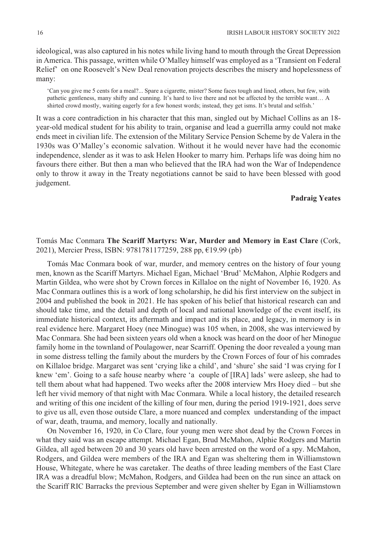ideological, was also captured in his notes while living hand to mouth through the Great Depression in America. This passage, written while O'Malley himself was employed as a 'Transient on Federal Relief' on one Roosevelt's New Deal renovation projects describes the misery and hopelessness of many:

'Can you give me 5 cents for a meal?... Spare a cigarette, mister? Some faces tough and lined, others, but few, with pathetic gentleness, many shifty and cunning. It's hard to live there and not be affected by the terrible want… A shirted crowd mostly, waiting eagerly for a few honest words; instead, they get isms. It's brutal and selfish.'

It was a core contradiction in his character that this man, singled out by Michael Collins as an 18 year-old medical student for his ability to train, organise and lead a guerrilla army could not make ends meet in civilian life. The extension of the Military Service Pension Scheme by de Valera in the 1930s was O'Malley's economic salvation. Without it he would never have had the economic independence, slender as it was to ask Helen Hooker to marry him. Perhaps life was doing him no favours there either. But then a man who believed that the IRA had won the War of Independence only to throw it away in the Treaty negotiations cannot be said to have been blessed with good judgement.

## **Padraig Yeates**

## Tomás Mac Conmara **The Scariff Martyrs: War, Murder and Memory in East Clare** (Cork, 2021), Mercier Press, ISBN: 9781781177259, 288 pp, €19.99 (pb)

Tomás Mac Conmara book of war, murder, and memory centres on the history of four young men, known as the Scariff Martyrs. Michael Egan, Michael 'Brud' McMahon, Alphie Rodgers and Martin Gildea, who were shot by Crown forces in Killaloe on the night of November 16, 1920. As Mac Conmara outlines this is a work of long scholarship, he did his first interview on the subject in 2004 and published the book in 2021. He has spoken of his belief that historical research can and should take time, and the detail and depth of local and national knowledge of the event itself, its immediate historical context, its aftermath and impact and its place, and legacy, in memory is in real evidence here. Margaret Hoey (nee Minogue) was 105 when, in 2008, she was interviewed by Mac Conmara. She had been sixteen years old when a knock was heard on the door of her Minogue family home in the townland of Poulagower, near Scarriff. Opening the door revealed a young man in some distress telling the family about the murders by the Crown Forces of four of his comrades on Killaloe bridge. Margaret was sent 'crying like a child', and 'shure' she said 'I was crying for I knew 'em'. Going to a safe house nearby where 'a couple of [IRA] lads' were asleep, she had to tell them about what had happened. Two weeks after the 2008 interview Mrs Hoey died – but she left her vivid memory of that night with Mac Conmara. While a local history, the detailed research and writing of this one incident of the killing of four men, during the period 1919-1921, does serve to give us all, even those outside Clare, a more nuanced and complex understanding of the impact of war, death, trauma, and memory, locally and nationally.

On November 16, 1920, in Co Clare, four young men were shot dead by the Crown Forces in what they said was an escape attempt. Michael Egan, Brud McMahon, Alphie Rodgers and Martin Gildea, all aged between 20 and 30 years old have been arrested on the word of a spy. McMahon, Rodgers, and Gildea were members of the IRA and Egan was sheltering them in Williamstown House, Whitegate, where he was caretaker. The deaths of three leading members of the East Clare IRA was a dreadful blow; McMahon, Rodgers, and Gildea had been on the run since an attack on the Scariff RIC Barracks the previous September and were given shelter by Egan in Williamstown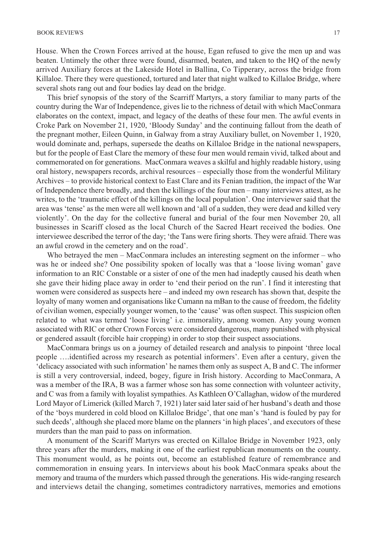House. When the Crown Forces arrived at the house, Egan refused to give the men up and was beaten. Untimely the other three were found, disarmed, beaten, and taken to the HQ of the newly arrived Auxiliary forces at the Lakeside Hotel in Ballina, Co Tipperary, across the bridge from Killaloe. There they were questioned, tortured and later that night walked to Killaloe Bridge, where several shots rang out and four bodies lay dead on the bridge.

This brief synopsis of the story of the Scarriff Martyrs, a story familiar to many parts of the country during the War of Independence, gives lie to the richness of detail with which MacConmara elaborates on the context, impact, and legacy of the deaths of these four men. The awful events in Croke Park on November 21, 1920, 'Bloody Sunday' and the continuing fallout from the death of the pregnant mother, Eileen Quinn, in Galway from a stray Auxiliary bullet, on November 1, 1920, would dominate and, perhaps, supersede the deaths on Killaloe Bridge in the national newspapers, but for the people of East Clare the memory of these four men would remain vivid, talked about and commemorated on for generations. MacConmara weaves a skilful and highly readable history, using oral history, newspapers records, archival resources – especially those from the wonderful Military Archives – to provide historical context to East Clare and its Fenian tradition, the impact of the War of Independence there broadly, and then the killings of the four men – many interviews attest, as he writes, to the 'traumatic effect of the killings on the local population'. One interviewer said that the area was 'tense' as the men were all well known and 'all of a sudden, they were dead and killed very violently'. On the day for the collective funeral and burial of the four men November 20, all businesses in Scariff closed as the local Church of the Sacred Heart received the bodies. One interviewee described the terror of the day; 'the Tans were firing shorts. They were afraid. There was an awful crowd in the cemetery and on the road'.

Who betrayed the men – MacConmara includes an interesting segment on the informer – who was he or indeed she? One possibility spoken of locally was that a 'loose living woman' gave information to an RIC Constable or a sister of one of the men had inadeptly caused his death when she gave their hiding place away in order to 'end their period on the run'. I find it interesting that women were considered as suspects here – and indeed my own research has shown that, despite the loyalty of many women and organisations like Cumann na mBan to the cause of freedom, the fidelity of civilian women, especially younger women, to the 'cause' was often suspect. This suspicion often related to what was termed 'loose living' i.e. immorality, among women. Any young women associated with RIC or other Crown Forces were considered dangerous, many punished with physical or gendered assault (forcible hair cropping) in order to stop their suspect associations.

MacConmara brings us on a journey of detailed research and analysis to pinpoint 'three local people ….identified across my research as potential informers'. Even after a century, given the 'delicacy associated with such information' he names them only as suspect A, B and C. The informer is still a very controversial, indeed, bogey, figure in Irish history. According to MacConmara, A was a member of the IRA, B was a farmer whose son has some connection with volunteer activity, and C was from a family with loyalist sympathies. As Kathleen O'Callaghan, widow of the murdered Lord Mayor of Limerick (killed March 7, 1921) later said later said of her husband's death and those of the 'boys murdered in cold blood on Killaloe Bridge', that one man's 'hand is fouled by pay for such deeds', although she placed more blame on the planners 'in high places', and executors of these murders than the man paid to pass on information.

A monument of the Scariff Martyrs was erected on Killaloe Bridge in November 1923, only three years after the murders, making it one of the earliest republican monuments on the county. This monument would, as he points out, become an established feature of remembrance and commemoration in ensuing years. In interviews about his book MacConmara speaks about the memory and trauma of the murders which passed through the generations. His wide-ranging research and interviews detail the changing, sometimes contradictory narratives, memories and emotions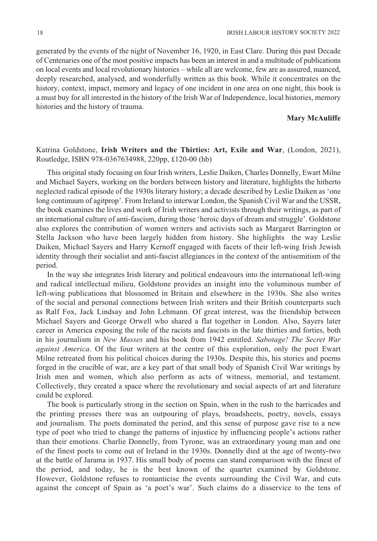generated by the events of the night of November 16, 1920, in East Clare. During this past Decade of Centenaries one of the most positive impacts has been an interest in and a multitude of publications on local events and local revolutionary histories – while all are welcome, few are as assured, nuanced, deeply researched, analysed, and wonderfully written as this book. While it concentrates on the history, context, impact, memory and legacy of one incident in one area on one night, this book is a must buy for all interested in the history of the Irish War of Independence, local histories, memory histories and the history of trauma.

#### **Mary McAuliffe**

## Katrina Goldstone, **Irish Writers and the Thirties: Art, Exile and War**, (London, 2021), Routledge, ISBN 978-0367634988, 220pp, £120-00 (hb)

This original study focusing on four Irish writers, Leslie Daiken, Charles Donnelly, Ewart Milne and Michael Sayers, working on the borders between history and literature, highlights the hitherto neglected radical episode of the 1930s literary history; a decade described by Leslie Daiken as 'one long continuum of agitprop'. From Ireland to interwar London, the Spanish Civil War and the USSR, the book examines the lives and work of Irish writers and activists through their writings, as part of an international culture of anti-fascism, during those 'heroic days of dream and struggle'. Goldstone also explores the contribution of women writers and activists such as Margaret Barrington or Stella Jackson who have been largely hidden from history. She highlights the way Leslie Daiken, Michael Sayers and Harry Kernoff engaged with facets of their left-wing Irish Jewish identity through their socialist and anti-fascist allegiances in the context of the antisemitism of the period.

In the way she integrates Irish literary and political endeavours into the international left-wing and radical intellectual milieu, Goldstone provides an insight into the voluminous number of left-wing publications that blossomed in Britain and elsewhere in the 1930s. She also writes of the social and personal connections between Irish writers and their British counterparts such as Ralf Fox, Jack Lindsay and John Lehmann. Of great interest, was the friendship between Michael Sayers and George Orwell who shared a flat together in London. Also, Sayers later career in America exposing the role of the racists and fascists in the late thirties and forties, both in his journalism in *New Masses* and his book from 1942 entitled. *Sabotage! The Secret War against America*. Of the four writers at the centre of this exploration, only the poet Ewart Milne retreated from his political choices during the 1930s. Despite this, his stories and poems forged in the crucible of war, are a key part of that small body of Spanish Civil War writings by Irish men and women, which also perform as acts of witness, memorial, and testament. Collectively, they created a space where the revolutionary and social aspects of art and literature could be explored.

The book is particularly strong in the section on Spain, when in the rush to the barricades and the printing presses there was an outpouring of plays, broadsheets, poetry, novels, essays and journalism. The poets dominated the period, and this sense of purpose gave rise to a new type of poet who tried to change the patterns of injustice by influencing people's actions rather than their emotions. Charlie Donnelly, from Tyrone, was an extraordinary young man and one of the finest poets to come out of Ireland in the 1930s. Donnelly died at the age of twenty-two at the battle of Jarama in 1937. His small body of poems can stand comparison with the finest of the period, and today, he is the best known of the quartet examined by Goldstone. However, Goldstone refuses to romanticise the events surrounding the Civil War, and cuts against the concept of Spain as 'a poet's war'. Such claims do a disservice to the tens of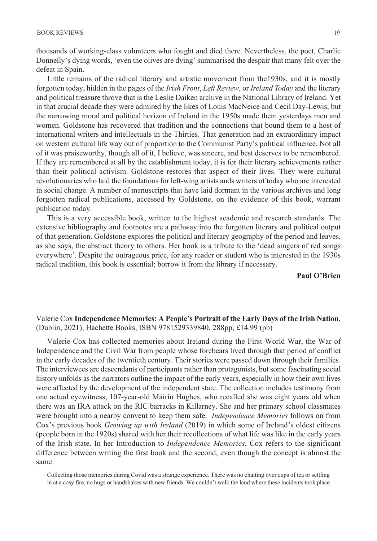thousands of working-class volunteers who fought and died there. Nevertheless, the poet, Charlie Donnelly's dying words, 'even the olives are dying' summarised the despair that many felt over the defeat in Spain.

Little remains of the radical literary and artistic movement from the1930s, and it is mostly forgotten today, hidden in the pages of the *Irish Front*, *Left Review*, or *Ireland Today* and the literary and political treasure throve that is the Leslie Daiken archive in the National Library of Ireland. Yet in that crucial decade they were admired by the likes of Louis MacNeice and Cecil Day-Lewis, but the narrowing moral and political horizon of Ireland in the 1950s made them yesterdays men and women. Goldstone has recovered that tradition and the connections that bound them to a host of international writers and intellectuals in the Thirties. That generation had an extraordinary impact on western cultural life way out of proportion to the Communist Party's political influence. Not all of it was praiseworthy, though all of it, I believe, was sincere, and best deserves to be remembered. If they are remembered at all by the establishment today, it is for their literary achievements rather than their political activism. Goldstone restores that aspect of their lives. They were cultural revolutionaries who laid the foundations for left-wing artists ands writers of today who are interested in social change. A number of manuscripts that have laid dormant in the various archives and long forgotten radical publications, accessed by Goldstone, on the evidence of this book, warrant publication today.

This is a very accessible book, written to the highest academic and research standards. The extensive bibliography and footnotes are a pathway into the forgotten literary and political output of that generation. Goldstone explores the political and literary geography of the period and leaves, as she says, the abstract theory to others. Her book is a tribute to the 'dead singers of red songs everywhere'. Despite the outrageous price, for any reader or student who is interested in the 1930s radical tradition, this book is essential; borrow it from the library if necessary.

**Paul O'Brien** 

## Valerie Cox **Independence Memories: A People's Portrait of the Early Days of the Irish Nation**, (Dublin, 2021), Hachette Books, ISBN 9781529339840, 288pp, £14.99 (pb)

Valerie Cox has collected memories about Ireland during the First World War, the War of Independence and the Civil War from people whose forebears lived through that period of conflict in the early decades of the twentieth century. Their stories were passed down through their families. The interviewees are descendants of participants rather than protagonists, but some fascinating social history unfolds as the narrators outline the impact of the early years, especially in how their own lives were affected by the development of the independent state. The collection includes testimony from one actual eyewitness, 107-year-old Máirín Hughes, who recalled she was eight years old when there was an IRA attack on the RIC barracks in Killarney. She and her primary school classmates were brought into a nearby convent to keep them safe. *Independence Memories* follows on from Cox's previous book *Growing up with Ireland* (2019) in which some of Ireland's oldest citizens (people born in the 1920s) shared with her their recollections of what life was like in the early years of the Irish state. In her Introduction to *Independence Memories*, Cox refers to the significant difference between writing the first book and the second, even though the concept is almost the same:

Collecting those memories during Covid was a strange experience. There was no chatting over cups of tea or settling in at a cosy fire, no hugs or handshakes with new friends. We couldn't walk the land where these incidents took place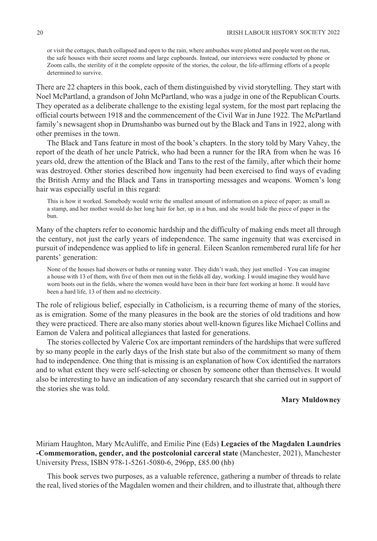or visit the cottages, thatch collapsed and open to the rain, where ambushes were plotted and people went on the run, the safe houses with their secret rooms and large cupboards. Instead, our interviews were conducted by phone or Zoom calls, the sterility of it the complete opposite of the stories, the colour, the life-affirming efforts of a people determined to survive.

There are 22 chapters in this book, each of them distinguished by vivid storytelling. They start with Noel McPartland, a grandson of John McPartland, who was a judge in one of the Republican Courts. They operated as a deliberate challenge to the existing legal system, for the most part replacing the official courts between 1918 and the commencement of the Civil War in June 1922. The McPartland family's newsagent shop in Drumshanbo was burned out by the Black and Tans in 1922, along with other premises in the town.

The Black and Tans feature in most of the book's chapters. In the story told by Mary Vahey, the report of the death of her uncle Patrick, who had been a runner for the IRA from when he was 16 years old, drew the attention of the Black and Tans to the rest of the family, after which their home was destroyed. Other stories described how ingenuity had been exercised to find ways of evading the British Army and the Black and Tans in transporting messages and weapons. Women's long hair was especially useful in this regard:

This is how it worked. Somebody would write the smallest amount of information on a piece of paper; as small as a stamp, and her mother would do her long hair for her, up in a bun, and she would hide the piece of paper in the bun.

Many of the chapters refer to economic hardship and the difficulty of making ends meet all through the century, not just the early years of independence. The same ingenuity that was exercised in pursuit of independence was applied to life in general. Eileen Scanlon remembered rural life for her parents' generation:

None of the houses had showers or baths or running water. They didn't wash, they just smelled - You can imagine a house with 13 of them, with five of them men out in the fields all day, working. I would imagine they would have worn boots out in the fields, where the women would have been in their bare feet working at home. It would have been a hard life, 13 of them and no electricity.

The role of religious belief, especially in Catholicism, is a recurring theme of many of the stories, as is emigration. Some of the many pleasures in the book are the stories of old traditions and how they were practiced. There are also many stories about well-known figures like Michael Collins and Eamon de Valera and political allegiances that lasted for generations.

The stories collected by Valerie Cox are important reminders of the hardships that were suffered by so many people in the early days of the Irish state but also of the commitment so many of them had to independence. One thing that is missing is an explanation of how Cox identified the narrators and to what extent they were self-selecting or chosen by someone other than themselves. It would also be interesting to have an indication of any secondary research that she carried out in support of the stories she was told.

#### **Mary Muldowney**

Miriam Haughton, Mary McAuliffe, and Emilie Pine (Eds) **Legacies of the Magdalen Laundries -Commemoration, gender, and the postcolonial carceral state** (Manchester, 2021), Manchester University Press, ISBN 978-1-5261-5080-6, 296pp, £85.00 (hb)

This book serves two purposes, as a valuable reference, gathering a number of threads to relate the real, lived stories of the Magdalen women and their children, and to illustrate that, although there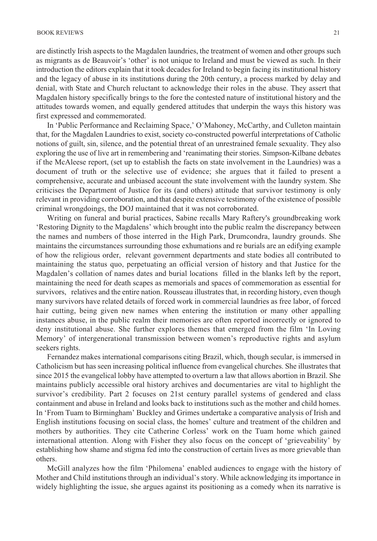are distinctly Irish aspects to the Magdalen laundries, the treatment of women and other groups such as migrants as de Beauvoir's 'other' is not unique to Ireland and must be viewed as such. In their introduction the editors explain that it took decades for Ireland to begin facing its institutional history and the legacy of abuse in its institutions during the 20th century, a process marked by delay and denial, with State and Church reluctant to acknowledge their roles in the abuse. They assert that Magdalen history specifically brings to the fore the contested nature of institutional history and the attitudes towards women, and equally gendered attitudes that underpin the ways this history was first expressed and commemorated.

In 'Public Performance and Reclaiming Space,' O'Mahoney, McCarthy, and Culleton maintain that, for the Magdalen Laundries to exist, society co-constructed powerful interpretations of Catholic notions of guilt, sin, silence, and the potential threat of an unrestrained female sexuality. They also exploring the use of live art in remembering and 'reanimating their stories. Simpson-Kilbane debates if the McAleese report, (set up to establish the facts on state involvement in the Laundries) was a document of truth or the selective use of evidence; she argues that it failed to present a comprehensive, accurate and unbiased account the state involvement with the laundry system. She criticises the Department of Justice for its (and others) attitude that survivor testimony is only relevant in providing corroboration, and that despite extensive testimony of the existence of possible criminal wrongdoings, the DOJ maintained that it was not corroborated.

Writing on funeral and burial practices, Sabine recalls Mary Raftery's groundbreaking work 'Restoring Dignity to the Magdalens' which brought into the public realm the discrepancy between the names and numbers of those interred in the High Park, Drumcondra, laundry grounds. She maintains the circumstances surrounding those exhumations and re burials are an edifying example of how the religious order, relevant government departments and state bodies all contributed to maintaining the status quo, perpetuating an official version of history and that Justice for the Magdalen's collation of names dates and burial locations filled in the blanks left by the report, maintaining the need for death scapes as memorials and spaces of commemoration as essential for survivors, relatives and the entire nation. Rousseau illustrates that, in recording history, even though many survivors have related details of forced work in commercial laundries as free labor, of forced hair cutting, being given new names when entering the institution or many other appalling instances abuse, in the public realm their memories are often reported incorrectly or ignored to deny institutional abuse. She further explores themes that emerged from the film 'In Loving Memory' of intergenerational transmission between women's reproductive rights and asylum seekers rights.

Fernandez makes international comparisons citing Brazil, which, though secular, is immersed in Catholicism but has seen increasing political influence from evangelical churches. She illustrates that since 2015 the evangelical lobby have attempted to overturn a law that allows abortion in Brazil. She maintains publicly accessible oral history archives and documentaries are vital to highlight the survivor's credibility. Part 2 focuses on 21st century parallel systems of gendered and class containment and abuse in Ireland and looks back to institutions such as the mother and child homes. In 'From Tuam to Birmingham' Buckley and Grimes undertake a comparative analysis of Irish and English institutions focusing on social class, the homes' culture and treatment of the children and mothers by authorities. They cite Catherine Corless' work on the Tuam home which gained international attention. Along with Fisher they also focus on the concept of 'grieveability' by establishing how shame and stigma fed into the construction of certain lives as more grievable than others.

McGill analyzes how the film 'Philomena' enabled audiences to engage with the history of Mother and Child institutions through an individual's story. While acknowledging its importance in widely highlighting the issue, she argues against its positioning as a comedy when its narrative is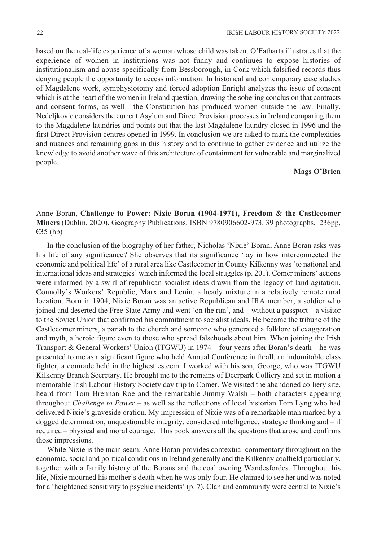based on the real-life experience of a woman whose child was taken. O'Fatharta illustrates that the experience of women in institutions was not funny and continues to expose histories of institutionalism and abuse specifically from Bessborough, in Cork which falsified records thus denying people the opportunity to access information. In historical and contemporary case studies of Magdalene work, symphysiotomy and forced adoption Enright analyzes the issue of consent which is at the heart of the women in Ireland question, drawing the sobering conclusion that contracts and consent forms, as well. the Constitution has produced women outside the law. Finally, Nedeljkovic considers the current Asylum and Direct Provision processes in Ireland comparing them to the Magdalene laundries and points out that the last Magdalene laundry closed in 1996 and the first Direct Provision centres opened in 1999. In conclusion we are asked to mark the complexities and nuances and remaining gaps in this history and to continue to gather evidence and utilize the knowledge to avoid another wave of this architecture of containment for vulnerable and marginalized people.

## **Mags O'Brien**

## Anne Boran, **Challenge to Power: Nixie Boran (1904-1971), Freedom & the Castlecomer Miners** (Dublin, 2020), Geography Publications, ISBN 9780906602-973, 39 photographs, 236pp, €35 (hb)

In the conclusion of the biography of her father, Nicholas 'Nixie' Boran, Anne Boran asks was his life of any significance? She observes that its significance 'lay in how interconnected the economic and political life' of a rural area like Castlecomer in County Kilkenny was 'to national and international ideas and strategies' which informed the local struggles (p. 201). Comer miners' actions were informed by a swirl of republican socialist ideas drawn from the legacy of land agitation, Connolly's Workers' Republic, Marx and Lenin, a heady mixture in a relatively remote rural location. Born in 1904, Nixie Boran was an active Republican and IRA member, a soldier who joined and deserted the Free State Army and went 'on the run', and – without a passport – a visitor to the Soviet Union that confirmed his commitment to socialist ideals. He became the tribune of the Castlecomer miners, a pariah to the church and someone who generated a folklore of exaggeration and myth, a heroic figure even to those who spread falsehoods about him. When joining the Irish Transport & General Workers' Union (ITGWU) in 1974 – four years after Boran's death – he was presented to me as a significant figure who held Annual Conference in thrall, an indomitable class fighter, a comrade held in the highest esteem. I worked with his son, George, who was ITGWU Kilkenny Branch Secretary. He brought me to the remains of Deerpark Colliery and set in motion a memorable Irish Labour History Society day trip to Comer. We visited the abandoned colliery site, heard from Tom Brennan Roe and the remarkable Jimmy Walsh – both characters appearing throughout *Challenge to Power* – as well as the reflections of local historian Tom Lyng who had delivered Nixie's graveside oration. My impression of Nixie was of a remarkable man marked by a dogged determination, unquestionable integrity, considered intelligence, strategic thinking and  $-i$  if required – physical and moral courage. This book answers all the questions that arose and confirms those impressions.

While Nixie is the main seam, Anne Boran provides contextual commentary throughout on the economic, social and political conditions in Ireland generally and the Kilkenny coalfield particularly, together with a family history of the Borans and the coal owning Wandesfordes. Throughout his life, Nixie mourned his mother's death when he was only four. He claimed to see her and was noted for a 'heightened sensitivity to psychic incidents' (p. 7). Clan and community were central to Nixie's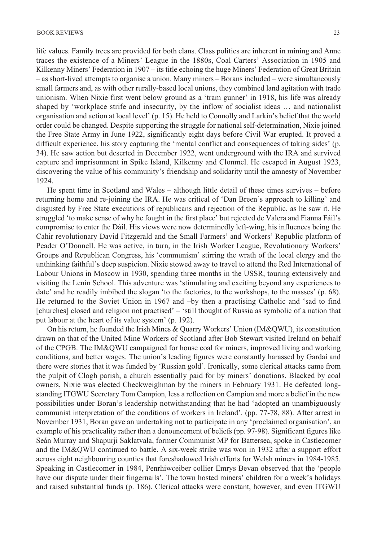life values. Family trees are provided for both clans. Class politics are inherent in mining and Anne traces the existence of a Miners' League in the 1880s, Coal Carters' Association in 1905 and Kilkenny Miners' Federation in 1907 – its title echoing the huge Miners' Federation of Great Britain – as short-lived attempts to organise a union. Many miners – Borans included – were simultaneously small farmers and, as with other rurally-based local unions, they combined land agitation with trade unionism. When Nixie first went below ground as a 'tram gunner' in 1918, his life was already shaped by 'workplace strife and insecurity, by the inflow of socialist ideas … and nationalist organisation and action at local level' (p. 15). He held to Connolly and Larkin's belief that the world order could be changed. Despite supporting the struggle for national self-determination, Nixie joined the Free State Army in June 1922, significantly eight days before Civil War erupted. It proved a difficult experience, his story capturing the 'mental conflict and consequences of taking sides' (p. 34). He saw action but deserted in December 1922, went underground with the IRA and survived capture and imprisonment in Spike Island, Kilkenny and Clonmel. He escaped in August 1923, discovering the value of his community's friendship and solidarity until the amnesty of November 1924.

He spent time in Scotland and Wales – although little detail of these times survives – before returning home and re-joining the IRA. He was critical of 'Dan Breen's approach to killing' and disgusted by Free State executions of republicans and rejection of the Republic, as he saw it. He struggled 'to make sense of why he fought in the first place' but rejected de Valera and Fianna Fáil's compromise to enter the Dáil. His views were now determinedly left-wing, his influences being the Cahir revolutionary David Fitzgerald and the Small Farmers' and Workers' Republic platform of Peader O'Donnell. He was active, in turn, in the Irish Worker League, Revolutionary Workers' Groups and Republican Congress, his 'communism' stirring the wrath of the local clergy and the unthinking faithful's deep suspicion. Nixie stowed away to travel to attend the Red International of Labour Unions in Moscow in 1930, spending three months in the USSR, touring extensively and visiting the Lenin School. This adventure was 'stimulating and exciting beyond any experiences to date' and he readily imbibed the slogan 'to the factories, to the workshops, to the masses' (p. 68). He returned to the Soviet Union in 1967 and –by then a practising Catholic and 'sad to find [churches] closed and religion not practised' – 'still thought of Russia as symbolic of a nation that put labour at the heart of its value system' (p. 192).

On his return, he founded the Irish Mines & Quarry Workers' Union (IM&QWU), its constitution drawn on that of the United Mine Workers of Scotland after Bob Stewart visited Ireland on behalf of the CPGB. The IM&QWU campaigned for house coal for miners, improved living and working conditions, and better wages. The union's leading figures were constantly harassed by Gardaí and there were stories that it was funded by 'Russian gold'. Ironically, some clerical attacks came from the pulpit of Clogh parish, a church essentially paid for by miners' donations. Blacked by coal owners, Nixie was elected Checkweighman by the miners in February 1931. He defeated longstanding ITGWU Secretary Tom Campion, less a reflection on Campion and more a belief in the new possibilities under Boran's leadership notwithstanding that he had 'adopted an unambiguously communist interpretation of the conditions of workers in Ireland'. (pp. 77-78, 88). After arrest in November 1931, Boran gave an undertaking not to participate in any 'proclaimed organisation', an example of his practicality rather than a denouncement of beliefs (pp. 97-98). Significant figures like Seán Murray and Shapurji Saklatvala, former Communist MP for Battersea, spoke in Castlecomer and the IM&QWU continued to battle. A six-week strike was won in 1932 after a support effort across eight neighbouring counties that foreshadowed Irish efforts for Welsh miners in 1984-1985. Speaking in Castlecomer in 1984, Penrhiwceiber collier Emrys Bevan observed that the 'people have our dispute under their fingernails'. The town hosted miners' children for a week's holidays and raised substantial funds (p. 186). Clerical attacks were constant, however, and even ITGWU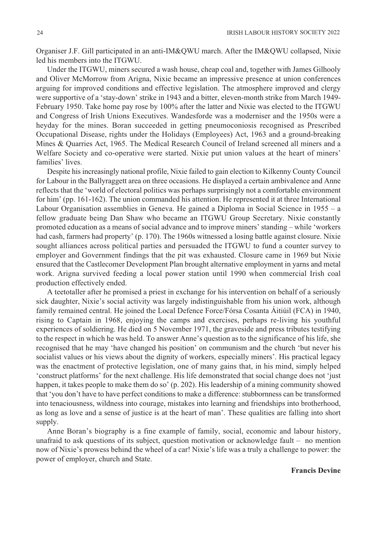Organiser J.F. Gill participated in an anti-IM&QWU march. After the IM&QWU collapsed, Nixie led his members into the ITGWU.

Under the ITGWU, miners secured a wash house, cheap coal and, together with James Gilhooly and Oliver McMorrow from Arigna, Nixie became an impressive presence at union conferences arguing for improved conditions and effective legislation. The atmosphere improved and clergy were supportive of a 'stay-down' strike in 1943 and a bitter, eleven-month strike from March 1949- February 1950. Take home pay rose by 100% after the latter and Nixie was elected to the ITGWU and Congress of Irish Unions Executives. Wandesforde was a moderniser and the 1950s were a heyday for the mines. Boran succeeded in getting pneumoconiosis recognised as Prescribed Occupational Disease, rights under the Holidays (Employees) Act, 1963 and a ground-breaking Mines & Quarries Act, 1965. The Medical Research Council of Ireland screened all miners and a Welfare Society and co-operative were started. Nixie put union values at the heart of miners' families' lives.

Despite his increasingly national profile, Nixie failed to gain election to Kilkenny County Council for Labour in the Ballyraggett area on three occasions. He displayed a certain ambivalence and Anne reflects that the 'world of electoral politics was perhaps surprisingly not a comfortable environment for him' (pp. 161-162). The union commanded his attention. He represented it at three International Labour Organisation assemblies in Geneva. He gained a Diploma in Social Science in 1955 – a fellow graduate being Dan Shaw who became an ITGWU Group Secretary. Nixie constantly promoted education as a means of social advance and to improve miners' standing – while 'workers had cash, farmers had property' (p. 170). The 1960s witnessed a losing battle against closure. Nixie sought alliances across political parties and persuaded the ITGWU to fund a counter survey to employer and Government findings that the pit was exhausted. Closure came in 1969 but Nixie ensured that the Castlecomer Development Plan brought alternative employment in yarns and metal work. Arigna survived feeding a local power station until 1990 when commercial Irish coal production effectively ended.

A teetotaller after he promised a priest in exchange for his intervention on behalf of a seriously sick daughter, Nixie's social activity was largely indistinguishable from his union work, although family remained central. He joined the Local Defence Force/Fórsa Cosanta Áitiúil (FCA) in 1940, rising to Captain in 1968, enjoying the camps and exercises, perhaps re-living his youthful experiences of soldiering. He died on 5 November 1971, the graveside and press tributes testifying to the respect in which he was held. To answer Anne's question as to the significance of his life, she recognised that he may 'have changed his position' on communism and the church 'but never his socialist values or his views about the dignity of workers, especially miners'. His practical legacy was the enactment of protective legislation, one of many gains that, in his mind, simply helped 'construct platforms' for the next challenge. His life demonstrated that social change does not 'just happen, it takes people to make them do so' (p. 202). His leadership of a mining community showed that 'you don't have to have perfect conditions to make a difference: stubbornness can be transformed into tenaciousness, wildness into courage, mistakes into learning and friendships into brotherhood, as long as love and a sense of justice is at the heart of man'. These qualities are falling into short supply.

Anne Boran's biography is a fine example of family, social, economic and labour history, unafraid to ask questions of its subject, question motivation or acknowledge fault – no mention now of Nixie's prowess behind the wheel of a car! Nixie's life was a truly a challenge to power: the power of employer, church and State.

#### **Francis Devine**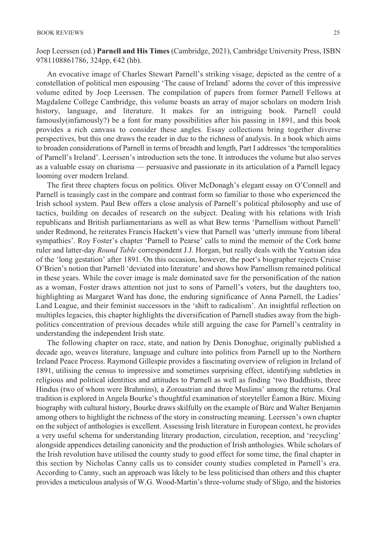Joep Leerssen (ed.) **Parnell and His Times** (Cambridge, 2021), Cambridge University Press, ISBN 9781108861786, 324pp, €42 (hb).

An evocative image of Charles Stewart Parnell's striking visage, depicted as the centre of a constellation of political men espousing 'The cause of Ireland' adorns the cover of this impressive volume edited by Joep Leerssen. The compilation of papers from former Parnell Fellows at Magdalene College Cambridge, this volume boasts an array of major scholars on modern Irish history, language, and literature. It makes for an intriguing book. Parnell could famously(infamously?) be a font for many possibilities after his passing in 1891, and this book provides a rich canvass to consider these angles. Essay collections bring together diverse perspectives, but this one draws the reader in due to the richness of analysis. In a book which aims to broaden considerations of Parnell in terms of breadth and length, Part I addresses 'the temporalities of Parnell's Ireland'. Leerssen's introduction sets the tone. It introduces the volume but also serves as a valuable essay on charisma — persuasive and passionate in its articulation of a Parnell legacy looming over modern Ireland.

The first three chapters focus on politics. Oliver McDonagh's elegant essay on O'Connell and Parnell is teasingly cast in the compare and contrast form so familiar to those who experienced the Irish school system. Paul Bew offers a close analysis of Parnell's political philosophy and use of tactics, building on decades of research on the subject. Dealing with his relations with Irish republicans and British parliamentarians as well as what Bew terms 'Parnellism without Parnell' under Redmond, he reiterates Francis Hackett's view that Parnell was 'utterly immune from liberal sympathies'. Roy Foster's chapter 'Parnell to Pearse' calls to mind the memoir of the Cork home ruler and latter-day *Round Table* correspondent J.J. Horgan, but really deals with the Yeatsian idea of the 'long gestation' after 1891. On this occasion, however, the poet's biographer rejects Cruise O'Brien's notion that Parnell 'deviated into literature' and shows how Parnellism remained political in these years. While the cover image is male dominated save for the personification of the nation as a woman, Foster draws attention not just to sons of Parnell's voters, but the daughters too, highlighting as Margaret Ward has done, the enduring significance of Anna Parnell, the Ladies' Land League, and their feminist successors in the 'shift to radicalism'. An insightful reflection on multiples legacies, this chapter highlights the diversification of Parnell studies away from the highpolitics concentration of previous decades while still arguing the case for Parnell's centrality in understanding the independent Irish state.

The following chapter on race, state, and nation by Denis Donoghue, originally published a decade ago, weaves literature, language and culture into politics from Parnell up to the Northern Ireland Peace Process. Raymond Gillespie provides a fascinating overview of religion in Ireland of 1891, utilising the census to impressive and sometimes surprising effect, identifying subtleties in religious and political identities and attitudes to Parnell as well as finding 'two Buddhists, three Hindus (two of whom were Brahmins), a Zoroastrian and three Muslims' among the returns. Oral tradition is explored in Angela Bourke's thoughtful examination of storyteller Éamon a Búrc. Mixing biography with cultural history, Bourke draws skilfully on the example of Búrc and Walter Benjamin among others to highlight the richness of the story in constructing meaning. Leerssen's own chapter on the subject of anthologies is excellent. Assessing Irish literature in European context, he provides a very useful schema for understanding literary production, circulation, reception, and 'recycling' alongside appendices detailing canonicity and the production of Irish anthologies. While scholars of the Irish revolution have utilised the county study to good effect for some time, the final chapter in this section by Nicholas Canny calls us to consider county studies completed in Parnell's era. According to Canny, such an approach was likely to be less politicised than others and this chapter provides a meticulous analysis of W.G. Wood-Martin's three-volume study of Sligo, and the histories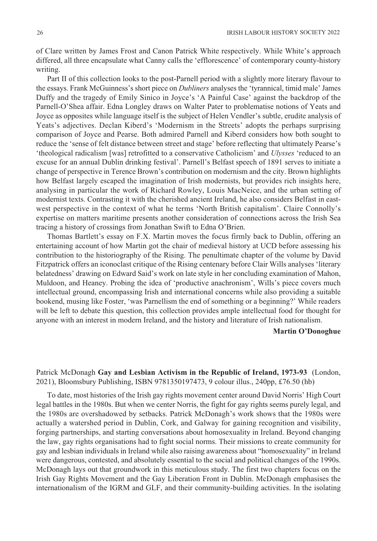of Clare written by James Frost and Canon Patrick White respectively. While White's approach differed, all three encapsulate what Canny calls the 'efflorescence' of contemporary county-history writing.

Part II of this collection looks to the post-Parnell period with a slightly more literary flavour to the essays. Frank McGuinness's short piece on *Dubliners* analyses the 'tyrannical, timid male' James Duffy and the tragedy of Emily Sinico in Joyce's 'A Painful Case' against the backdrop of the Parnell-O'Shea affair. Edna Longley draws on Walter Pater to problematise notions of Yeats and Joyce as opposites while language itself is the subject of Helen Vendler's subtle, erudite analysis of Yeats's adjectives. Declan Kiberd's 'Modernism in the Streets' adopts the perhaps surprising comparison of Joyce and Pearse. Both admired Parnell and Kiberd considers how both sought to reduce the 'sense of felt distance between street and stage' before reflecting that ultimately Pearse's 'theological radicalism [was] retrofitted to a conservative Catholicism' and *Ulysses* 'reduced to an excuse for an annual Dublin drinking festival'. Parnell's Belfast speech of 1891 serves to initiate a change of perspective in Terence Brown's contribution on modernism and the city. Brown highlights how Belfast largely escaped the imagination of Irish modernists, but provides rich insights here, analysing in particular the work of Richard Rowley, Louis MacNeice, and the urban setting of modernist texts. Contrasting it with the cherished ancient Ireland, he also considers Belfast in eastwest perspective in the context of what he terms 'North British capitalism'. Claire Connolly's expertise on matters maritime presents another consideration of connections across the Irish Sea tracing a history of crossings from Jonathan Swift to Edna O'Brien.

Thomas Bartlett's essay on F.X. Martin moves the focus firmly back to Dublin, offering an entertaining account of how Martin got the chair of medieval history at UCD before assessing his contribution to the historiography of the Rising. The penultimate chapter of the volume by David Fitzpatrick offers an iconoclast critique of the Rising centenary before Clair Wills analyses 'literary belatedness' drawing on Edward Said's work on late style in her concluding examination of Mahon, Muldoon, and Heaney. Probing the idea of 'productive anachronism', Wills's piece covers much intellectual ground, encompassing Irish and international concerns while also providing a suitable bookend, musing like Foster, 'was Parnellism the end of something or a beginning?' While readers will be left to debate this question, this collection provides ample intellectual food for thought for anyone with an interest in modern Ireland, and the history and literature of Irish nationalism.

## **Martin O'Donoghue**

Patrick McDonagh **Gay and Lesbian Activism in the Republic of Ireland, 1973-93** (London, 2021), Bloomsbury Publishing, ISBN 9781350197473, 9 colour illus., 240pp, £76.50 (hb)

To date, most histories of the Irish gay rights movement center around David Norris' High Court legal battles in the 1980s. But when we center Norris, the fight for gay rights seems purely legal, and the 1980s are overshadowed by setbacks. Patrick McDonagh's work shows that the 1980s were actually a watershed period in Dublin, Cork, and Galway for gaining recognition and visibility, forging partnerships, and starting conversations about homosexuality in Ireland. Beyond changing the law, gay rights organisations had to fight social norms. Their missions to create community for gay and lesbian individuals in Ireland while also raising awareness about "homosexuality" in Ireland were dangerous, contested, and absolutely essential to the social and political changes of the 1990s. McDonagh lays out that groundwork in this meticulous study. The first two chapters focus on the Irish Gay Rights Movement and the Gay Liberation Front in Dublin. McDonagh emphasises the internationalism of the IGRM and GLF, and their community-building activities. In the isolating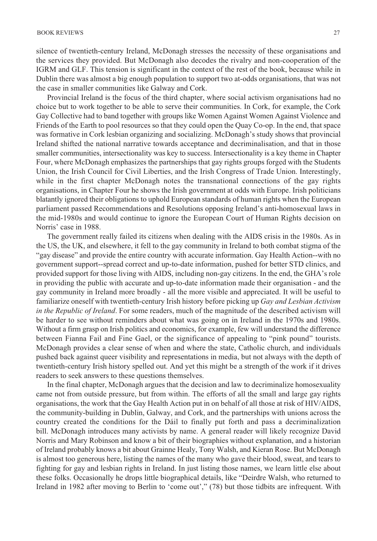silence of twentieth-century Ireland, McDonagh stresses the necessity of these organisations and the services they provided. But McDonagh also decodes the rivalry and non-cooperation of the IGRM and GLF. This tension is significant in the context of the rest of the book, because while in Dublin there was almost a big enough population to support two at-odds organisations, that was not the case in smaller communities like Galway and Cork.

Provincial Ireland is the focus of the third chapter, where social activism organisations had no choice but to work together to be able to serve their communities. In Cork, for example, the Cork Gay Collective had to band together with groups like Women Against Women Against Violence and Friends of the Earth to pool resources so that they could open the Quay Co-op. In the end, that space was formative in Cork lesbian organizing and socializing. McDonagh's study shows that provincial Ireland shifted the national narrative towards acceptance and decriminalisation, and that in those smaller communities, intersectionality was key to success. Intersectionality is a key theme in Chapter Four, where McDonagh emphasizes the partnerships that gay rights groups forged with the Students Union, the Irish Council for Civil Liberties, and the Irish Congress of Trade Union. Interestingly, while in the first chapter McDonagh notes the transnational connections of the gay rights organisations, in Chapter Four he shows the Irish government at odds with Europe. Irish politicians blatantly ignored their obligations to uphold European standards of human rights when the European parliament passed Recommendations and Resolutions opposing Ireland's anti-homosexual laws in the mid-1980s and would continue to ignore the European Court of Human Rights decision on Norris' case in 1988.

The government really failed its citizens when dealing with the AIDS crisis in the 1980s. As in the US, the UK, and elsewhere, it fell to the gay community in Ireland to both combat stigma of the "gay disease" and provide the entire country with accurate information. Gay Health Action--with no government support--spread correct and up-to-date information, pushed for better STD clinics, and provided support for those living with AIDS, including non-gay citizens. In the end, the GHA's role in providing the public with accurate and up-to-date information made their organisation - and the gay community in Ireland more broadly - all the more visible and appreciated. It will be useful to familiarize oneself with twentieth-century Irish history before picking up *Gay and Lesbian Activism in the Republic of Ireland*. For some readers, much of the magnitude of the described activism will be harder to see without reminders about what was going on in Ireland in the 1970s and 1980s. Without a firm grasp on Irish politics and economics, for example, few will understand the difference between Fianna Fail and Fine Gael, or the significance of appealing to "pink pound" tourists. McDonagh provides a clear sense of when and where the state, Catholic church, and individuals pushed back against queer visibility and representations in media, but not always with the depth of twentieth-century Irish history spelled out. And yet this might be a strength of the work if it drives readers to seek answers to these questions themselves.

In the final chapter, McDonagh argues that the decision and law to decriminalize homosexuality came not from outside pressure, but from within. The efforts of all the small and large gay rights organisations, the work that the Gay Health Action put in on behalf of all those at risk of HIV/AIDS, the community-building in Dublin, Galway, and Cork, and the partnerships with unions across the country created the conditions for the Dáil to finally put forth and pass a decriminalization bill. McDonagh introduces many activists by name. A general reader will likely recognize David Norris and Mary Robinson and know a bit of their biographies without explanation, and a historian of Ireland probably knows a bit about Grainne Healy, Tony Walsh, and Kieran Rose. But McDonagh is almost too generous here, listing the names of the many who gave their blood, sweat, and tears to fighting for gay and lesbian rights in Ireland. In just listing those names, we learn little else about these folks. Occasionally he drops little biographical details, like "Deirdre Walsh, who returned to Ireland in 1982 after moving to Berlin to 'come out'," (78) but those tidbits are infrequent. With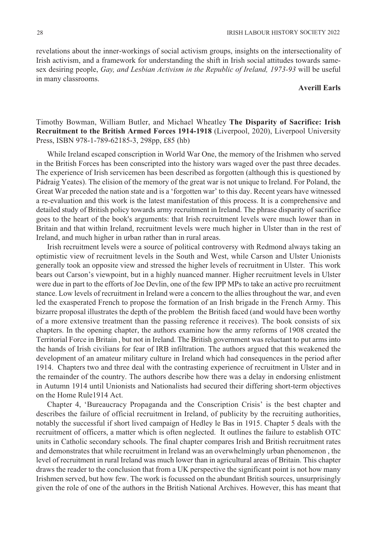revelations about the inner-workings of social activism groups, insights on the intersectionality of Irish activism, and a framework for understanding the shift in Irish social attitudes towards samesex desiring people, *Gay, and Lesbian Activism in the Republic of Ireland, 1973-93* will be useful in many classrooms.

#### **Averill Earls**

## Timothy Bowman, William Butler, and Michael Wheatley **The Disparity of Sacrifice: Irish Recruitment to the British Armed Forces 1914-1918** (Liverpool, 2020), Liverpool University Press, ISBN 978-1-789-62185-3, 298pp, £85 (hb)

While Ireland escaped conscription in World War One, the memory of the Irishmen who served in the British Forces has been conscripted into the history wars waged over the past three decades. The experience of Irish servicemen has been described as forgotten (although this is questioned by Pádraig Yeates). The elision of the memory of the great war is not unique to Ireland. For Poland, the Great War preceded the nation state and is a 'forgotten war' to this day. Recent years have witnessed a re-evaluation and this work is the latest manifestation of this process. It is a comprehensive and detailed study of British policy towards army recruitment in Ireland. The phrase disparity of sacrifice goes to the heart of the book's arguments: that Irish recruitment levels were much lower than in Britain and that within Ireland, recruitment levels were much higher in Ulster than in the rest of Ireland, and much higher in urban rather than in rural areas.

Irish recruitment levels were a source of political controversy with Redmond always taking an optimistic view of recruitment levels in the South and West, while Carson and Ulster Unionists generally took an opposite view and stressed the higher levels of recruitment in Ulster. This work bears out Carson's viewpoint, but in a highly nuanced manner. Higher recruitment levels in Ulster were due in part to the efforts of Joe Devlin, one of the few IPP MPs to take an active pro recruitment stance. Low levels of recruitment in Ireland were a concern to the allies throughout the war, and even led the exasperated French to propose the formation of an Irish brigade in the French Army. This bizarre proposal illustrates the depth of the problem the British faced (and would have been worthy of a more extensive treatment than the passing reference it receives). The book consists of six chapters. In the opening chapter, the authors examine how the army reforms of 1908 created the Territorial Force in Britain , but not in Ireland. The British government was reluctant to put arms into the hands of Irish civilians for fear of IRB infiltration. The authors argued that this weakened the development of an amateur military culture in Ireland which had consequences in the period after 1914. Chapters two and three deal with the contrasting experience of recruitment in Ulster and in the remainder of the country. The authors describe how there was a delay in endorsing enlistment in Autumn 1914 until Unionists and Nationalists had secured their differing short-term objectives on the Home Rule1914 Act.

Chapter 4, 'Bureaucracy Propaganda and the Conscription Crisis' is the best chapter and describes the failure of official recruitment in Ireland, of publicity by the recruiting authorities, notably the successful if short lived campaign of Hedley le Bas in 1915. Chapter 5 deals with the recruitment of officers, a matter which is often neglected. It outlines the failure to establish OTC units in Catholic secondary schools. The final chapter compares Irish and British recruitment rates and demonstrates that while recruitment in Ireland was an overwhelmingly urban phenomenon , the level of recruitment in rural Ireland was much lower than in agricultural areas of Britain. This chapter draws the reader to the conclusion that from a UK perspective the significant point is not how many Irishmen served, but how few. The work is focussed on the abundant British sources, unsurprisingly given the role of one of the authors in the British National Archives. However, this has meant that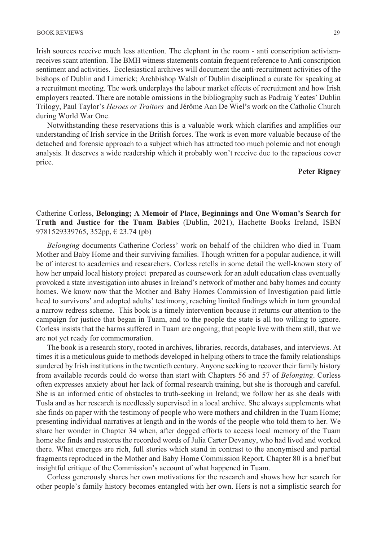Irish sources receive much less attention. The elephant in the room - anti conscription activismreceives scant attention. The BMH witness statements contain frequent reference to Anti conscription sentiment and activities. Ecclesiastical archives will document the anti-recruitment activities of the bishops of Dublin and Limerick; Archbishop Walsh of Dublin disciplined a curate for speaking at a recruitment meeting. The work underplays the labour market effects of recruitment and how Irish employers reacted. There are notable omissions in the bibliography such as Padraig Yeates' Dublin Trilogy, Paul Taylor's *Heroes or Traitors* and Jérôme Aan De Wiel's work on the Catholic Church during World War One.

Notwithstanding these reservations this is a valuable work which clarifies and amplifies our understanding of Irish service in the British forces. The work is even more valuable because of the detached and forensic approach to a subject which has attracted too much polemic and not enough analysis. It deserves a wide readership which it probably won't receive due to the rapacious cover price.

## **Peter Rigney**

## Catherine Corless, **Belonging; A Memoir of Place, Beginnings and One Woman's Search for Truth and Justice for the Tuam Babies** (Dublin, 2021), Hachette Books Ireland, ISBN 9781529339765, 352pp, € 23.74 (pb)

*Belonging* documents Catherine Corless' work on behalf of the children who died in Tuam Mother and Baby Home and their surviving families. Though written for a popular audience, it will be of interest to academics and researchers. Corless retells in some detail the well-known story of how her unpaid local history project prepared as coursework for an adult education class eventually provoked a state investigation into abuses in Ireland's network of mother and baby homes and county homes. We know now that the Mother and Baby Homes Commission of Investigation paid little heed to survivors' and adopted adults' testimony, reaching limited findings which in turn grounded a narrow redress scheme. This book is a timely intervention because it returns our attention to the campaign for justice that began in Tuam, and to the people the state is all too willing to ignore. Corless insists that the harms suffered in Tuam are ongoing; that people live with them still, that we are not yet ready for commemoration.

The book is a research story, rooted in archives, libraries, records, databases, and interviews. At times it is a meticulous guide to methods developed in helping others to trace the family relationships sundered by Irish institutions in the twentieth century. Anyone seeking to recover their family history from available records could do worse than start with Chapters 56 and 57 of *Belonging*. Corless often expresses anxiety about her lack of formal research training, but she is thorough and careful. She is an informed critic of obstacles to truth-seeking in Ireland; we follow her as she deals with Tusla and as her research is needlessly supervised in a local archive. She always supplements what she finds on paper with the testimony of people who were mothers and children in the Tuam Home; presenting individual narratives at length and in the words of the people who told them to her. We share her wonder in Chapter 34 when, after dogged efforts to access local memory of the Tuam home she finds and restores the recorded words of Julia Carter Devaney, who had lived and worked there. What emerges are rich, full stories which stand in contrast to the anonymised and partial fragments reproduced in the Mother and Baby Home Commission Report. Chapter 80 is a brief but insightful critique of the Commission's account of what happened in Tuam.

Corless generously shares her own motivations for the research and shows how her search for other people's family history becomes entangled with her own. Hers is not a simplistic search for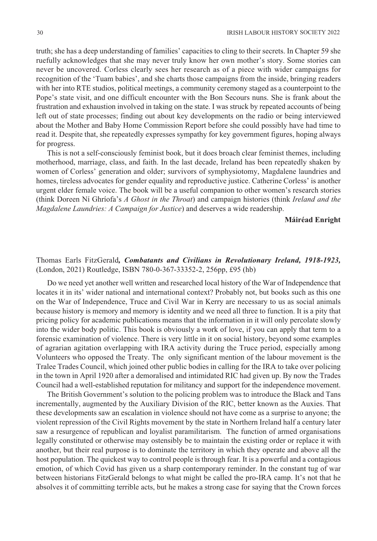truth; she has a deep understanding of families' capacities to cling to their secrets. In Chapter 59 she ruefully acknowledges that she may never truly know her own mother's story. Some stories can never be uncovered. Corless clearly sees her research as of a piece with wider campaigns for recognition of the 'Tuam babies', and she charts those campaigns from the inside, bringing readers with her into RTE studios, political meetings, a community ceremony staged as a counterpoint to the Pope's state visit, and one difficult encounter with the Bon Secours nuns. She is frank about the frustration and exhaustion involved in taking on the state. I was struck by repeated accounts of being left out of state processes; finding out about key developments on the radio or being interviewed about the Mother and Baby Home Commission Report before she could possibly have had time to read it. Despite that, she repeatedly expresses sympathy for key government figures, hoping always for progress.

This is not a self-consciously feminist book, but it does broach clear feminist themes, including motherhood, marriage, class, and faith. In the last decade, Ireland has been repeatedly shaken by women of Corless' generation and older; survivors of symphysiotomy, Magdalene laundries and homes, tireless advocates for gender equality and reproductive justice. Catherine Corless' is another urgent elder female voice. The book will be a useful companion to other women's research stories (think Doreen Ní Ghríofa's *A Ghost in the Throat*) and campaign histories (think *Ireland and the Magdalene Laundries: A Campaign for Justice*) and deserves a wide readership.

#### **Máiréad Enright**

## Thomas Earls FitzGerald*, Combatants and Civilians in Revolutionary Ireland, 1918-1923,* (London, 2021) Routledge, ISBN 780-0-367-33352-2, 256pp, £95 (hb)

Do we need yet another well written and researched local history of the War of Independence that locates it in its' wider national and international context? Probably not, but books such as this one on the War of Independence, Truce and Civil War in Kerry are necessary to us as social animals because history is memory and memory is identity and we need all three to function. It is a pity that pricing policy for academic publications means that the information in it will only percolate slowly into the wider body politic. This book is obviously a work of love, if you can apply that term to a forensic examination of violence. There is very little in it on social history, beyond some examples of agrarian agitation overlapping with IRA activity during the Truce period, especially among Volunteers who opposed the Treaty. The only significant mention of the labour movement is the Tralee Trades Council, which joined other public bodies in calling for the IRA to take over policing in the town in April 1920 after a demoralised and intimidated RIC had given up. By now the Trades Council had a well-established reputation for militancy and support for the independence movement.

The British Government's solution to the policing problem was to introduce the Black and Tans incrementally, augmented by the Auxiliary Division of the RIC, better known as the Auxies. That these developments saw an escalation in violence should not have come as a surprise to anyone; the violent repression of the Civil Rights movement by the state in Northern Ireland half a century later saw a resurgence of republican and loyalist paramilitarism. The function of armed organisations legally constituted or otherwise may ostensibly be to maintain the existing order or replace it with another, but their real purpose is to dominate the territory in which they operate and above all the host population. The quickest way to control people is through fear. It is a powerful and a contagious emotion, of which Covid has given us a sharp contemporary reminder. In the constant tug of war between historians FitzGerald belongs to what might be called the pro-IRA camp. It's not that he absolves it of committing terrible acts, but he makes a strong case for saying that the Crown forces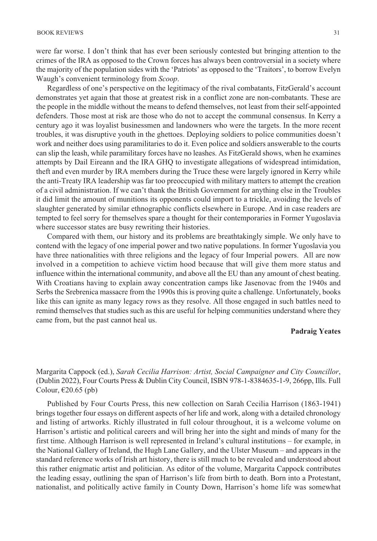were far worse. I don't think that has ever been seriously contested but bringing attention to the crimes of the IRA as opposed to the Crown forces has always been controversial in a society where the majority of the population sides with the 'Patriots' as opposed to the 'Traitors', to borrow Evelyn Waugh's convenient terminology from *Scoop*.

Regardless of one's perspective on the legitimacy of the rival combatants, FitzGerald's account demonstrates yet again that those at greatest risk in a conflict zone are non-combatants. These are the people in the middle without the means to defend themselves, not least from their self-appointed defenders. Those most at risk are those who do not to accept the communal consensus. In Kerry a century ago it was loyalist businessmen and landowners who were the targets. In the more recent troubles, it was disruptive youth in the ghettoes. Deploying soldiers to police communities doesn't work and neither does using paramilitaries to do it. Even police and soldiers answerable to the courts can slip the leash, while paramilitary forces have no leashes. As FitzGerald shows, when he examines attempts by Dail Eireann and the IRA GHQ to investigate allegations of widespread intimidation, theft and even murder by IRA members during the Truce these were largely ignored in Kerry while the anti-Treaty IRA leadership was far too preoccupied with military matters to attempt the creation of a civil administration. If we can't thank the British Government for anything else in the Troubles it did limit the amount of munitions its opponents could import to a trickle, avoiding the levels of slaughter generated by similar ethnographic conflicts elsewhere in Europe. And in case readers are tempted to feel sorry for themselves spare a thought for their contemporaries in Former Yugoslavia where successor states are busy rewriting their histories.

Compared with them, our history and its problems are breathtakingly simple. We only have to contend with the legacy of one imperial power and two native populations. In former Yugoslavia you have three nationalities with three religions and the legacy of four Imperial powers. All are now involved in a competition to achieve victim hood because that will give them more status and influence within the international community, and above all the EU than any amount of chest beating. With Croatians having to explain away concentration camps like Jasenovac from the 1940s and Serbs the Srebrenica massacre from the 1990s this is proving quite a challenge. Unfortunately, books like this can ignite as many legacy rows as they resolve. All those engaged in such battles need to remind themselves that studies such as this are useful for helping communities understand where they came from, but the past cannot heal us.

## **Padraig Yeates**

Margarita Cappock (ed.), *Sarah Cecilia Harrison: Artist, Social Campaigner and City Councillor*, (Dublin 2022), Four Courts Press & Dublin City Council, ISBN 978-1-8384635-1-9, 266pp, Ills. Full Colour,  $E20.65$  (pb)

Published by Four Courts Press, this new collection on Sarah Cecilia Harrison (1863-1941) brings together four essays on different aspects of her life and work, along with a detailed chronology and listing of artworks. Richly illustrated in full colour throughout, it is a welcome volume on Harrison's artistic and political careers and will bring her into the sight and minds of many for the first time. Although Harrison is well represented in Ireland's cultural institutions – for example, in the National Gallery of Ireland, the Hugh Lane Gallery, and the Ulster Museum – and appears in the standard reference works of Irish art history, there is still much to be revealed and understood about this rather enigmatic artist and politician. As editor of the volume, Margarita Cappock contributes the leading essay, outlining the span of Harrison's life from birth to death. Born into a Protestant, nationalist, and politically active family in County Down, Harrison's home life was somewhat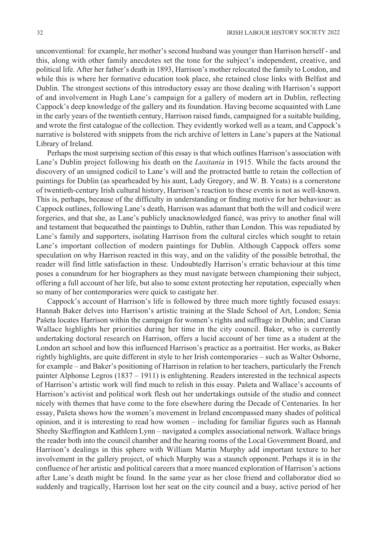unconventional: for example, her mother's second husband was younger than Harrison herself - and this, along with other family anecdotes set the tone for the subject's independent, creative, and political life. After her father's death in 1893, Harrison's mother relocated the family to London, and while this is where her formative education took place, she retained close links with Belfast and Dublin. The strongest sections of this introductory essay are those dealing with Harrison's support of and involvement in Hugh Lane's campaign for a gallery of modern art in Dublin, reflecting Cappock's deep knowledge of the gallery and its foundation. Having become acquainted with Lane in the early years of the twentieth century, Harrison raised funds, campaigned for a suitable building, and wrote the first catalogue of the collection. They evidently worked well as a team, and Cappock's narrative is bolstered with snippets from the rich archive of letters in Lane's papers at the National Library of Ireland.

Perhaps the most surprising section of this essay is that which outlines Harrison's association with Lane's Dublin project following his death on the *Lusitania* in 1915. While the facts around the discovery of an unsigned codicil to Lane's will and the protracted battle to retain the collection of paintings for Dublin (as spearheaded by his aunt, Lady Gregory, and W. B. Yeats) is a cornerstone of twentieth-century Irish cultural history, Harrison's reaction to these events is not as well-known. This is, perhaps, because of the difficulty in understanding or finding motive for her behaviour: as Cappock outlines, following Lane's death, Harrison was adamant that both the will and codicil were forgeries, and that she, as Lane's publicly unacknowledged fiancé, was privy to another final will and testament that bequeathed the paintings to Dublin, rather than London. This was repudiated by Lane's family and supporters, isolating Harrison from the cultural circles which sought to retain Lane's important collection of modern paintings for Dublin. Although Cappock offers some speculation on why Harrison reacted in this way, and on the validity of the possible betrothal, the reader will find little satisfaction in these. Undoubtedly Harrison's erratic behaviour at this time poses a conundrum for her biographers as they must navigate between championing their subject, offering a full account of her life, but also to some extent protecting her reputation, especially when so many of her contemporaries were quick to castigate her.

Cappock's account of Harrison's life is followed by three much more tightly focused essays: Hannah Baker delves into Harrison's artistic training at the Slade School of Art, London; Senia Pašeta locates Harrison within the campaign for women's rights and suffrage in Dublin; and Ciaran Wallace highlights her priorities during her time in the city council. Baker, who is currently undertaking doctoral research on Harrison, offers a lucid account of her time as a student at the London art school and how this influenced Harrison's practice as a portraitist. Her works, as Baker rightly highlights, are quite different in style to her Irish contemporaries – such as Walter Osborne, for example – and Baker's positioning of Harrison in relation to her teachers, particularly the French painter Alphonse Legros (1837 – 1911) is enlightening. Readers interested in the technical aspects of Harrison's artistic work will find much to relish in this essay. Pašeta and Wallace's accounts of Harrison's activist and political work flesh out her undertakings outside of the studio and connect nicely with themes that have come to the fore elsewhere during the Decade of Centenaries. In her essay, Pašeta shows how the women's movement in Ireland encompassed many shades of political opinion, and it is interesting to read how women – including for familiar figures such as Hannah Sheehy Skeffington and Kathleen Lynn – navigated a complex associational network. Wallace brings the reader both into the council chamber and the hearing rooms of the Local Government Board, and Harrison's dealings in this sphere with William Martin Murphy add important texture to her involvement in the gallery project, of which Murphy was a staunch opponent. Perhaps it is in the confluence of her artistic and political careers that a more nuanced exploration of Harrison's actions after Lane's death might be found. In the same year as her close friend and collaborator died so suddenly and tragically, Harrison lost her seat on the city council and a busy, active period of her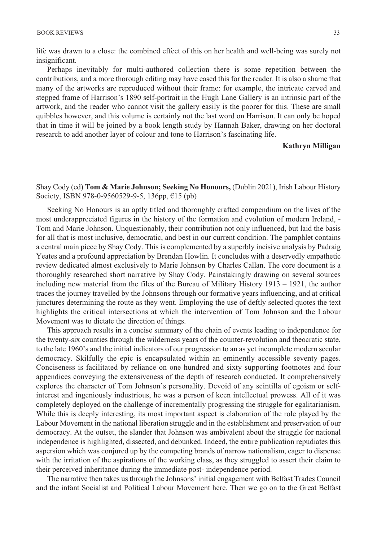life was drawn to a close: the combined effect of this on her health and well-being was surely not insignificant.

Perhaps inevitably for multi-authored collection there is some repetition between the contributions, and a more thorough editing may have eased this for the reader. It is also a shame that many of the artworks are reproduced without their frame: for example, the intricate carved and stepped frame of Harrison's 1890 self-portrait in the Hugh Lane Gallery is an intrinsic part of the artwork, and the reader who cannot visit the gallery easily is the poorer for this. These are small quibbles however, and this volume is certainly not the last word on Harrison. It can only be hoped that in time it will be joined by a book length study by Hannah Baker, drawing on her doctoral research to add another layer of colour and tone to Harrison's fascinating life.

## **Kathryn Milligan**

Shay Cody (ed) **Tom & Marie Johnson; Seeking No Honours,** (Dublin 2021), Irish Labour History Society, ISBN 978-0-9560529-9-5, 136pp, €15 (pb)

Seeking No Honours is an aptly titled and thoroughly crafted compendium on the lives of the most underappreciated figures in the history of the formation and evolution of modern Ireland, - Tom and Marie Johnson. Unquestionably, their contribution not only influenced, but laid the basis for all that is most inclusive, democratic, and best in our current condition. The pamphlet contains a central main piece by Shay Cody. This is complemented by a superbly incisive analysis by Padraig Yeates and a profound appreciation by Brendan Howlin. It concludes with a deservedly empathetic review dedicated almost exclusively to Marie Johnson by Charles Callan. The core document is a thoroughly researched short narrative by Shay Cody. Painstakingly drawing on several sources including new material from the files of the Bureau of Military History 1913 – 1921, the author traces the journey travelled by the Johnsons through our formative years influencing, and at critical junctures determining the route as they went. Employing the use of deftly selected quotes the text highlights the critical intersections at which the intervention of Tom Johnson and the Labour Movement was to dictate the direction of things.

This approach results in a concise summary of the chain of events leading to independence for the twenty-six counties through the wilderness years of the counter-revolution and theocratic state, to the late 1960's and the initial indicators of our progression to an as yet incomplete modern secular democracy. Skilfully the epic is encapsulated within an eminently accessible seventy pages. Conciseness is facilitated by reliance on one hundred and sixty supporting footnotes and four appendices conveying the extensiveness of the depth of research conducted. It comprehensively explores the character of Tom Johnson's personality. Devoid of any scintilla of egoism or selfinterest and ingeniously industrious, he was a person of keen intellectual prowess. All of it was completely deployed on the challenge of incrementally progressing the struggle for egalitarianism. While this is deeply interesting, its most important aspect is elaboration of the role played by the Labour Movement in the national liberation struggle and in the establishment and preservation of our democracy. At the outset, the slander that Johnson was ambivalent about the struggle for national independence is highlighted, dissected, and debunked. Indeed, the entire publication repudiates this aspersion which was conjured up by the competing brands of narrow nationalism, eager to dispense with the irritation of the aspirations of the working class, as they struggled to assert their claim to their perceived inheritance during the immediate post- independence period.

The narrative then takes us through the Johnsons' initial engagement with Belfast Trades Council and the infant Socialist and Political Labour Movement here. Then we go on to the Great Belfast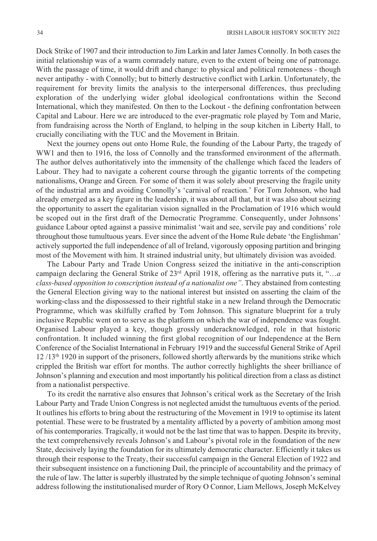Dock Strike of 1907 and their introduction to Jim Larkin and later James Connolly. In both cases the initial relationship was of a warm comradely nature, even to the extent of being one of patronage. With the passage of time, it would drift and change: to physical and political remoteness - though never antipathy - with Connolly; but to bitterly destructive conflict with Larkin. Unfortunately, the requirement for brevity limits the analysis to the interpersonal differences, thus precluding exploration of the underlying wider global ideological confrontations within the Second International, which they manifested. On then to the Lockout - the defining confrontation between Capital and Labour. Here we are introduced to the ever-pragmatic role played by Tom and Marie, from fundraising across the North of England, to helping in the soup kitchen in Liberty Hall, to crucially conciliating with the TUC and the Movement in Britain.

Next the journey opens out onto Home Rule, the founding of the Labour Party, the tragedy of WW1 and then to 1916, the loss of Connolly and the transformed environment of the aftermath. The author delves authoritatively into the immensity of the challenge which faced the leaders of Labour. They had to navigate a coherent course through the gigantic torrents of the competing nationalisms, Orange and Green. For some of them it was solely about preserving the fragile unity of the industrial arm and avoiding Connolly's 'carnival of reaction.' For Tom Johnson, who had already emerged as a key figure in the leadership, it was about all that, but it was also about seizing the opportunity to assert the egalitarian vision signalled in the Proclamation of 1916 which would be scoped out in the first draft of the Democratic Programme. Consequently, under Johnsons' guidance Labour opted against a passive minimalist 'wait and see, servile pay and conditions' role throughout those tumultuous years. Ever since the advent of the Home Rule debate 'the Englishman' actively supported the full independence of all of Ireland, vigorously opposing partition and bringing most of the Movement with him. It strained industrial unity, but ultimately division was avoided.

The Labour Party and Trade Union Congress seized the initiative in the anti-conscription campaign declaring the General Strike of 23rd April 1918, offering as the narrative puts it, "…*a class-based opposition to conscription instead of a nationalist one"*. They abstained from contesting the General Election giving way to the national interest but insisted on asserting the claim of the working-class and the dispossessed to their rightful stake in a new Ireland through the Democratic Programme, which was skilfully crafted by Tom Johnson. This signature blueprint for a truly inclusive Republic went on to serve as the platform on which the war of independence was fought. Organised Labour played a key, though grossly underacknowledged, role in that historic confrontation. It included winning the first global recognition of our Independence at the Bern Conference of the Socialist International in February 1919 and the successful General Strike of April  $12 / 13<sup>th</sup>$  1920 in support of the prisoners, followed shortly afterwards by the munitions strike which crippled the British war effort for months. The author correctly highlights the sheer brilliance of Johnson's planning and execution and most importantly his political direction from a class as distinct from a nationalist perspective.

To its credit the narrative also ensures that Johnson's critical work as the Secretary of the Irish Labour Party and Trade Union Congress is not neglected amidst the tumultuous events of the period. It outlines his efforts to bring about the restructuring of the Movement in 1919 to optimise its latent potential. These were to be frustrated by a mentality afflicted by a poverty of ambition among most of his contemporaries. Tragically, it would not be the last time that was to happen. Despite its brevity, the text comprehensively reveals Johnson's and Labour's pivotal role in the foundation of the new State, decisively laying the foundation for its ultimately democratic character. Efficiently it takes us through their response to the Treaty, their successful campaign in the General Election of 1922 and their subsequent insistence on a functioning Dail, the principle of accountability and the primacy of the rule of law. The latter is superbly illustrated by the simple technique of quoting Johnson's seminal address following the institutionalised murder of Rory O Connor, Liam Mellows, Joseph McKelvey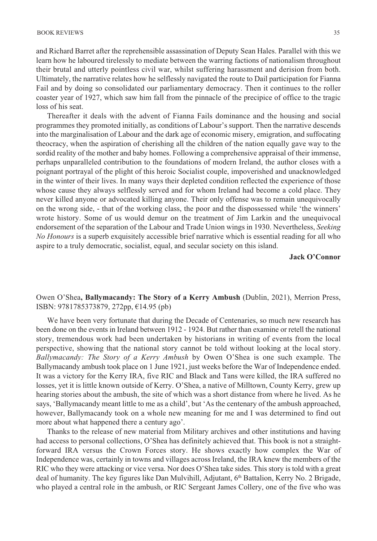and Richard Barret after the reprehensible assassination of Deputy Sean Hales. Parallel with this we learn how he laboured tirelessly to mediate between the warring factions of nationalism throughout their brutal and utterly pointless civil war, whilst suffering harassment and derision from both. Ultimately, the narrative relates how he selflessly navigated the route to Dail participation for Fianna Fail and by doing so consolidated our parliamentary democracy. Then it continues to the roller coaster year of 1927, which saw him fall from the pinnacle of the precipice of office to the tragic loss of his seat.

Thereafter it deals with the advent of Fianna Fails dominance and the housing and social programmes they promoted initially, as conditions of Labour's support. Then the narrative descends into the marginalisation of Labour and the dark age of economic misery, emigration, and suffocating theocracy, when the aspiration of cherishing all the children of the nation equally gave way to the sordid reality of the mother and baby homes. Following a comprehensive appraisal of their immense, perhaps unparalleled contribution to the foundations of modern Ireland, the author closes with a poignant portrayal of the plight of this heroic Socialist couple, impoverished and unacknowledged in the winter of their lives. In many ways their depleted condition reflected the experience of those whose cause they always selflessly served and for whom Ireland had become a cold place. They never killed anyone or advocated killing anyone. Their only offense was to remain unequivocally on the wrong side, - that of the working class, the poor and the dispossessed while 'the winners' wrote history. Some of us would demur on the treatment of Jim Larkin and the unequivocal endorsement of the separation of the Labour and Trade Union wings in 1930. Nevertheless, *Seeking No Honours* is a superb exquisitely accessible brief narrative which is essential reading for all who aspire to a truly democratic, socialist, equal, and secular society on this island.

**Jack O'Connor** 

## Owen O'Shea**, Ballymacandy: The Story of a Kerry Ambush** (Dublin, 2021), Merrion Press, ISBN: 9781785373879, 272pp, €14.95 (pb)

We have been very fortunate that during the Decade of Centenaries, so much new research has been done on the events in Ireland between 1912 - 1924. But rather than examine or retell the national story, tremendous work had been undertaken by historians in writing of events from the local perspective, showing that the national story cannot be told without looking at the local story. *Ballymacandy: The Story of a Kerry Ambush* by Owen O'Shea is one such example. The Ballymacandy ambush took place on 1 June 1921, just weeks before the War of Independence ended. It was a victory for the Kerry IRA, five RIC and Black and Tans were killed, the IRA suffered no losses, yet it is little known outside of Kerry. O'Shea, a native of Milltown, County Kerry, grew up hearing stories about the ambush, the site of which was a short distance from where he lived. As he says, 'Ballymacandy meant little to me as a child', but 'As the centenary of the ambush approached, however, Ballymacandy took on a whole new meaning for me and I was determined to find out more about what happened there a century ago'.

Thanks to the release of new material from Military archives and other institutions and having had access to personal collections, O'Shea has definitely achieved that. This book is not a straightforward IRA versus the Crown Forces story. He shows exactly how complex the War of Independence was, certainly in towns and villages across Ireland, the IRA knew the members of the RIC who they were attacking or vice versa. Nor does O'Shea take sides. This story is told with a great deal of humanity. The key figures like Dan Mulvihill, Adjutant, 6<sup>th</sup> Battalion, Kerry No. 2 Brigade, who played a central role in the ambush, or RIC Sergeant James Collery, one of the five who was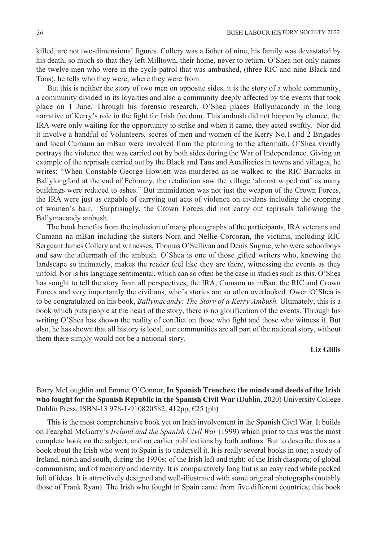killed, are not two-dimensional figures. Collery was a father of nine, his family was devastated by his death, so much so that they left Milltown, their home, never to return. O'Shea not only names the twelve men who were in the cycle patrol that was ambushed, (three RIC and nine Black and Tans), he tells who they were, where they were from.

But this is neither the story of two men on opposite sides, it is the story of a whole community, a community divided in its loyalties and also a community deeply affected by the events that took place on 1 June. Through his forensic research, O'Shea places Ballymacandy in the long narrative of Kerry's role in the fight for Irish freedom. This ambush did not happen by chance, the IRA were only waiting for the opportunity to strike and when it came, they acted swiftly. Nor did it involve a handful of Volunteers, scores of men and women of the Kerry No.1 and 2 Brigades and local Cumann an mBan were involved from the planning to the aftermath. O'Shea vividly portrays the violence that was carried out by both sides during the War of Independence. Giving an example of the reprisals carried out by the Black and Tans and Auxiliaries in towns and villages, he writes: "When Constable George Howlett was murdered as he walked to the RIC Barracks in Ballylongford at the end of February, the retaliation saw the village 'almost wiped out' as many buildings were reduced to ashes." But intimidation was not just the weapon of the Crown Forces, the IRA were just as capable of carrying out acts of violence on civilans including the cropping of women's hair. Surprisingly, the Crown Forces did not carry out reprisals following the Ballymacandy ambush.

The book benefits from the inclusion of many photographs of the participants, IRA veterans and Cumann na mBan including the sisters Nora and Nellie Corcoran, the victims, including RIC Sergeant James Collery and witnesses, Thomas O'Sullivan and Denis Sugrue, who were schoolboys and saw the aftermath of the ambush. O'Shea is one of those gifted writers who, knowing the landscape so intimately, makes the reader feel like they are there, witnessing the events as they unfold. Nor is his language sentimental, which can so often be the case in studies such as this. O'Shea has sought to tell the story from all perspectives, the IRA, Cumann na mBan, the RIC and Crown Forces and very importantly the civilians, who's stories are so often overlooked. Owen O'Shea is to be congratulated on his book, *Ballymacandy: The Story of a Kerry Ambush.* Ultimately, this is a book which puts people at the heart of the story, there is no glorification of the events. Through his writing O'Shea has shown the reality of conflict on those who fight and those who witness it. But also, he has shown that all history is local, our communities are all part of the national story, without them there simply would not be a national story.

#### **Liz Gillis**

## Barry McLoughlin and Emmet O'Connor, **In Spanish Trenches: the minds and deeds of the Irish who fought for the Spanish Republic in the Spanish Civil War** (Dublin, 2020) University College Dublin Press, ISBN-13 978-1-910820582, 412pp, €25 (pb)

This is the most comprehensive book yet on Irish involvement in the Spanish Civil War. It builds on Fearghal McGarry's *Ireland and the Spanish Civil War* (1999) which prior to this was the most complete book on the subject, and on earlier publications by both authors. But to describe this as a book about the Irish who went to Spain is to undersell it. It is really several books in one; a study of Ireland, north and south, during the 1930s; of the Irish left and right; of the Irish diaspora; of global communism; and of memory and identity. It is comparatively long but is an easy read while packed full of ideas. It is attractively designed and well-illustrated with some original photographs (notably those of Frank Ryan). The Irish who fought in Spain came from five different countries; this book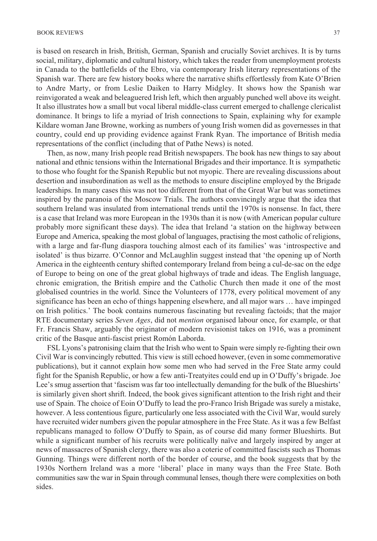is based on research in Irish, British, German, Spanish and crucially Soviet archives. It is by turns social, military, diplomatic and cultural history, which takes the reader from unemployment protests in Canada to the battlefields of the Ebro, via contemporary Irish literary representations of the Spanish war. There are few history books where the narrative shifts effortlessly from Kate O'Brien to Andre Marty, or from Leslie Daiken to Harry Midgley. It shows how the Spanish war reinvigorated a weak and beleaguered Irish left, which then arguably punched well above its weight. It also illustrates how a small but vocal liberal middle-class current emerged to challenge clericalist dominance. It brings to life a myriad of Irish connections to Spain, explaining why for example Kildare woman Jane Browne, working as numbers of young Irish women did as governesses in that country, could end up providing evidence against Frank Ryan. The importance of British media representations of the conflict (including that of Pathe News) is noted.

Then, as now, many Irish people read British newspapers. The book has new things to say about national and ethnic tensions within the International Brigades and their importance. It is sympathetic to those who fought for the Spanish Republic but not myopic. There are revealing discussions about desertion and insubordination as well as the methods to ensure discipline employed by the Brigade leaderships. In many cases this was not too different from that of the Great War but was sometimes inspired by the paranoia of the Moscow Trials. The authors convincingly argue that the idea that southern Ireland was insulated from international trends until the 1970s is nonsense. In fact, there is a case that Ireland was more European in the 1930s than it is now (with American popular culture probably more significant these days). The idea that Ireland 'a station on the highway between Europe and America, speaking the most global of languages, practising the most catholic of religions, with a large and far-flung diaspora touching almost each of its families' was 'introspective and isolated' is thus bizarre. O'Connor and McLaughlin suggest instead that 'the opening up of North America in the eighteenth century shifted contemporary Ireland from being a cul-de-sac on the edge of Europe to being on one of the great global highways of trade and ideas. The English language, chronic emigration, the British empire and the Catholic Church then made it one of the most globalised countries in the world. Since the Volunteers of 1778, every political movement of any significance has been an echo of things happening elsewhere, and all major wars … have impinged on Irish politics.' The book contains numerous fascinating but revealing factoids; that the major RTE documentary series *Seven Ages*, did not *mention* organised labour once, for example, or that Fr. Francis Shaw, arguably the originator of modern revisionist takes on 1916, was a prominent critic of the Basque anti-fascist priest Romón Laborda.

FSL Lyons's patronising claim that the Irish who went to Spain were simply re-fighting their own Civil War is convincingly rebutted. This view is still echoed however, (even in some commemorative publications), but it cannot explain how some men who had served in the Free State army could fight for the Spanish Republic, or how a few anti-Treatyites could end up in O'Duffy's brigade. Joe Lee's smug assertion that 'fascism was far too intellectually demanding for the bulk of the Blueshirts' is similarly given short shrift. Indeed, the book gives significant attention to the Irish right and their use of Spain. The choice of Eoin O'Duffy to lead the pro-Franco Irish Brigade was surely a mistake, however. A less contentious figure, particularly one less associated with the Civil War, would surely have recruited wider numbers given the popular atmosphere in the Free State. As it was a few Belfast republicans managed to follow O'Duffy to Spain, as of course did many former Blueshirts. But while a significant number of his recruits were politically naïve and largely inspired by anger at news of massacres of Spanish clergy, there was also a coterie of committed fascists such as Thomas Gunning. Things were different north of the border of course, and the book suggests that by the 1930s Northern Ireland was a more 'liberal' place in many ways than the Free State. Both communities saw the war in Spain through communal lenses, though there were complexities on both sides.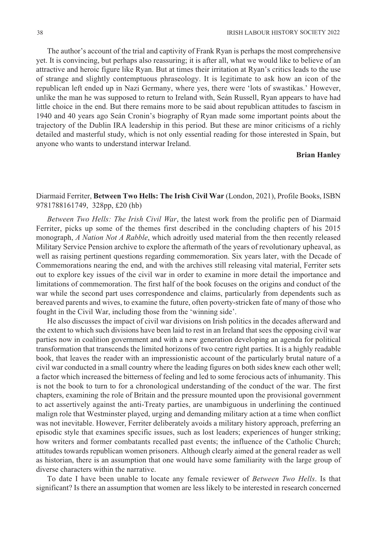The author's account of the trial and captivity of Frank Ryan is perhaps the most comprehensive yet. It is convincing, but perhaps also reassuring; it is after all, what we would like to believe of an attractive and heroic figure like Ryan. But at times their irritation at Ryan's critics leads to the use of strange and slightly contemptuous phraseology. It is legitimate to ask how an icon of the republican left ended up in Nazi Germany, where yes, there were 'lots of swastikas.' However, unlike the man he was supposed to return to Ireland with, Seán Russell, Ryan appears to have had little choice in the end. But there remains more to be said about republican attitudes to fascism in 1940 and 40 years ago Seán Cronin's biography of Ryan made some important points about the trajectory of the Dublin IRA leadership in this period. But these are minor criticisms of a richly detailed and masterful study, which is not only essential reading for those interested in Spain, but anyone who wants to understand interwar Ireland.

#### **Brian Hanley**

## Diarmaid Ferriter, **Between Two Hells: The Irish Civil War** (London, 2021), Profile Books, ISBN 9781788161749, 328pp, £20 (hb)

*Between Two Hells: The Irish Civil War*, the latest work from the prolific pen of Diarmaid Ferriter, picks up some of the themes first described in the concluding chapters of his 2015 monograph, *A Nation Not A Rabble*, which adroitly used material from the then recently released Military Service Pension archive to explore the aftermath of the years of revolutionary upheaval, as well as raising pertinent questions regarding commemoration. Six years later, with the Decade of Commemorations nearing the end, and with the archives still releasing vital material, Ferriter sets out to explore key issues of the civil war in order to examine in more detail the importance and limitations of commemoration. The first half of the book focuses on the origins and conduct of the war while the second part uses correspondence and claims, particularly from dependents such as bereaved parents and wives, to examine the future, often poverty-stricken fate of many of those who fought in the Civil War, including those from the 'winning side'.

He also discusses the impact of civil war divisions on Irish politics in the decades afterward and the extent to which such divisions have been laid to rest in an Ireland that sees the opposing civil war parties now in coalition government and with a new generation developing an agenda for political transformation that transcends the limited horizons of two centre right parties. It is a highly readable book, that leaves the reader with an impressionistic account of the particularly brutal nature of a civil war conducted in a small country where the leading figures on both sides knew each other well; a factor which increased the bitterness of feeling and led to some ferocious acts of inhumanity. This is not the book to turn to for a chronological understanding of the conduct of the war. The first chapters, examining the role of Britain and the pressure mounted upon the provisional government to act assertively against the anti-Treaty parties, are unambiguous in underlining the continued malign role that Westminster played, urging and demanding military action at a time when conflict was not inevitable. However, Ferriter deliberately avoids a military history approach, preferring an episodic style that examines specific issues, such as lost leaders; experiences of hunger striking; how writers and former combatants recalled past events; the influence of the Catholic Church; attitudes towards republican women prisoners. Although clearly aimed at the general reader as well as historian, there is an assumption that one would have some familiarity with the large group of diverse characters within the narrative.

To date I have been unable to locate any female reviewer of *Between Two Hells*. Is that significant? Is there an assumption that women are less likely to be interested in research concerned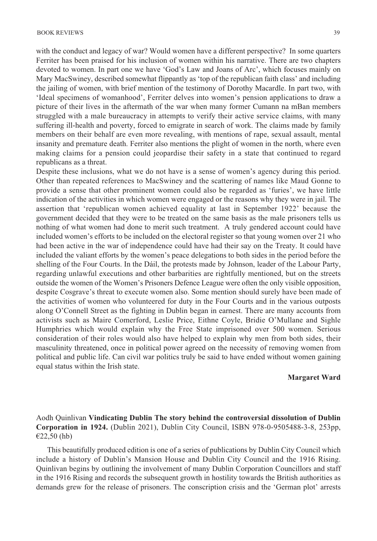with the conduct and legacy of war? Would women have a different perspective? In some quarters Ferriter has been praised for his inclusion of women within his narrative. There are two chapters devoted to women. In part one we have 'God's Law and Joans of Arc', which focuses mainly on Mary MacSwiney, described somewhat flippantly as 'top of the republican faith class' and including the jailing of women, with brief mention of the testimony of Dorothy Macardle. In part two, with 'Ideal specimens of womanhood', Ferriter delves into women's pension applications to draw a picture of their lives in the aftermath of the war when many former Cumann na mBan members struggled with a male bureaucracy in attempts to verify their active service claims, with many suffering ill-health and poverty, forced to emigrate in search of work. The claims made by family members on their behalf are even more revealing, with mentions of rape, sexual assault, mental insanity and premature death. Ferriter also mentions the plight of women in the north, where even making claims for a pension could jeopardise their safety in a state that continued to regard republicans as a threat.

Despite these inclusions, what we do not have is a sense of women's agency during this period. Other than repeated references to MacSwiney and the scattering of names like Maud Gonne to provide a sense that other prominent women could also be regarded as 'furies', we have little indication of the activities in which women were engaged or the reasons why they were in jail. The assertion that 'republican women achieved equality at last in September 1922' because the government decided that they were to be treated on the same basis as the male prisoners tells us nothing of what women had done to merit such treatment. A truly gendered account could have included women's efforts to be included on the electoral register so that young women over 21 who had been active in the war of independence could have had their say on the Treaty. It could have included the valiant efforts by the women's peace delegations to both sides in the period before the shelling of the Four Courts. In the Dáil, the protests made by Johnson, leader of the Labour Party, regarding unlawful executions and other barbarities are rightfully mentioned, but on the streets outside the women of the Women's Prisoners Defence League were often the only visible opposition, despite Cosgrave's threat to execute women also. Some mention should surely have been made of the activities of women who volunteered for duty in the Four Courts and in the various outposts along O'Connell Street as the fighting in Dublin began in earnest. There are many accounts from activists such as Maire Comerford, Leslie Price, Eithne Coyle, Bridie O'Mullane and Sighle Humphries which would explain why the Free State imprisoned over 500 women. Serious consideration of their roles would also have helped to explain why men from both sides, their masculinity threatened, once in political power agreed on the necessity of removing women from political and public life. Can civil war politics truly be said to have ended without women gaining equal status within the Irish state.

#### **Margaret Ward**

## Aodh Quinlivan **Vindicating Dublin The story behind the controversial dissolution of Dublin Corporation in 1924.** (Dublin 2021), Dublin City Council, ISBN 978-0-9505488-3-8, 253pp,  $€22,50$  (hb)

This beautifully produced edition is one of a series of publications by Dublin City Council which include a history of Dublin's Mansion House and Dublin City Council and the 1916 Rising. Quinlivan begins by outlining the involvement of many Dublin Corporation Councillors and staff in the 1916 Rising and records the subsequent growth in hostility towards the British authorities as demands grew for the release of prisoners. The conscription crisis and the 'German plot' arrests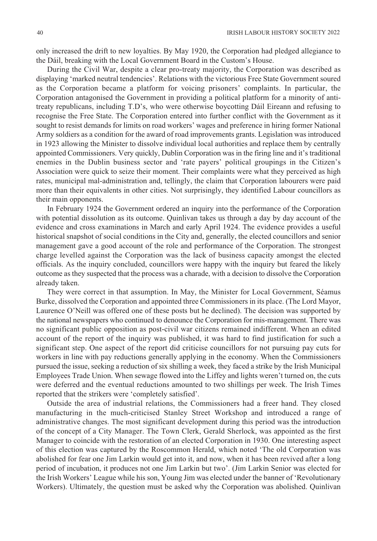only increased the drift to new loyalties. By May 1920, the Corporation had pledged allegiance to the Dáil, breaking with the Local Government Board in the Custom's House.

During the Civil War, despite a clear pro-treaty majority, the Corporation was described as displaying 'marked neutral tendencies'. Relations with the victorious Free State Government soured as the Corporation became a platform for voicing prisoners' complaints. In particular, the Corporation antagonised the Government in providing a political platform for a minority of antitreaty republicans, including T.D's, who were otherwise boycotting Dáil Eireann and refusing to recognise the Free State. The Corporation entered into further conflict with the Government as it sought to resist demands for limits on road workers' wages and preference in hiring former National Army soldiers as a condition for the award of road improvements grants. Legislation was introduced in 1923 allowing the Minister to dissolve individual local authorities and replace them by centrally appointed Commissioners. Very quickly, Dublin Corporation was in the firing line and it's traditional enemies in the Dublin business sector and 'rate payers' political groupings in the Citizen's Association were quick to seize their moment. Their complaints were what they perceived as high rates, municipal mal-administration and, tellingly, the claim that Corporation labourers were paid more than their equivalents in other cities. Not surprisingly, they identified Labour councillors as their main opponents.

In February 1924 the Government ordered an inquiry into the performance of the Corporation with potential dissolution as its outcome. Quinlivan takes us through a day by day account of the evidence and cross examinations in March and early April 1924. The evidence provides a useful historical snapshot of social conditions in the City and, generally, the elected councillors and senior management gave a good account of the role and performance of the Corporation. The strongest charge levelled against the Corporation was the lack of business capacity amongst the elected officials. As the inquiry concluded, councillors were happy with the inquiry but feared the likely outcome as they suspected that the process was a charade, with a decision to dissolve the Corporation already taken.

They were correct in that assumption. In May, the Minister for Local Government, Séamus Burke, dissolved the Corporation and appointed three Commissioners in its place. (The Lord Mayor, Laurence O'Neill was offered one of these posts but he declined). The decision was supported by the national newspapers who continued to denounce the Corporation for mis-management. There was no significant public opposition as post-civil war citizens remained indifferent. When an edited account of the report of the inquiry was published, it was hard to find justification for such a significant step. One aspect of the report did criticise councillors for not pursuing pay cuts for workers in line with pay reductions generally applying in the economy. When the Commissioners pursued the issue, seeking a reduction of six shilling a week, they faced a strike by the Irish Municipal Employees Trade Union. When sewage flowed into the Liffey and lights weren't turned on, the cuts were deferred and the eventual reductions amounted to two shillings per week. The Irish Times reported that the strikers were 'completely satisfied'.

Outside the area of industrial relations, the Commissioners had a freer hand. They closed manufacturing in the much-criticised Stanley Street Workshop and introduced a range of administrative changes. The most significant development during this period was the introduction of the concept of a City Manager. The Town Clerk, Gerald Sherlock, was appointed as the first Manager to coincide with the restoration of an elected Corporation in 1930. One interesting aspect of this election was captured by the Roscommon Herald, which noted 'The old Corporation was abolished for fear one Jim Larkin would get into it, and now, when it has been revived after a long period of incubation, it produces not one Jim Larkin but two'. (Jim Larkin Senior was elected for the Irish Workers' League while his son, Young Jim was elected under the banner of 'Revolutionary Workers). Ultimately, the question must be asked why the Corporation was abolished. Quinlivan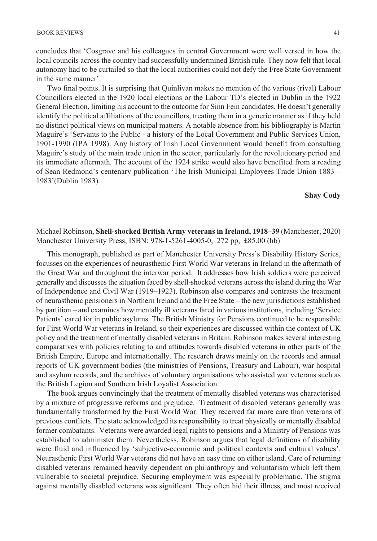concludes that 'Cosgrave and his colleagues in central Government were well versed in how the local councils across the country had successfully undermined British rule. They now felt that local autonomy had to be curtailed so that the local authorities could not defy the Free State Government in the same manner'.

Two final points. It is surprising that Quinlivan makes no mention of the various (rival) Labour Councillors elected in the 1920 local elections or the Labour TD's elected in Dublin in the 1922 General Election, limiting his account to the outcome for Sinn Fein candidates. He doesn't generally identify the political affiliations of the councillors, treating them in a generic manner as if they held no distinct political views on municipal matters. A notable absence from his bibliography is Martin Maguire's 'Servants to the Public - a history of the Local Government and Public Services Union, 1901-1990 (IPA 1998). Any history of Irish Local Government would benefit from consulting Maguire's study of the main trade union in the sector, particularly for the revolutionary period and its immediate aftermath. The account of the 1924 strike would also have benefited from a reading of Sean Redmond's centenary publication 'The Irish Municipal Employees Trade Union 1883 – 1983'(Dublin 1983).

## **Shay Cody**

Michael Robinson, **Shell-shocked British Army veterans in Ireland, 1918 –39** (Manchester, 2020) Manchester University Press, ISBN: 978-1-5261-4005-0, 272 pp, £85.00 (hb)

This monograph, published as part of Manchester University Press's Disability History Series, focusses on the experiences of neurasthenic First World War veterans in Ireland in the aftermath of the Great War and throughout the interwar period. It addresses how Irish soldiers were perceived generally and discusses the situation faced by shell-shocked veterans across the island during the War of Independence and Civil War (1919–1923). Robinson also compares and contrasts the treatment of neurasthenic pensioners in Northern Ireland and the Free State – the new jurisdictions established by partition – and examines how mentally ill veterans fared in various institutions, including 'Service Patients' cared for in public asylums. The British Ministry for Pensions continued to be responsible for First World War veterans in Ireland, so their experiences are discussed within the context of UK policy and the treatment of mentally disabled veterans in Britain. Robinson makes several interesting comparatives with policies relating to and attitudes towards disabled veterans in other parts of the British Empire, Europe and internationally. The research draws mainly on the records and annual reports of UK government bodies (the ministries of Pensions, Treasury and Labour), war hospital and asylum records, and the archives of voluntary organisations who assisted war veterans such as the British Legion and Southern Irish Loyalist Association.

The book argues convincingly that the treatment of mentally disabled veterans was characterised by a mixture of progressive reforms and prejudice. Treatment of disabled veterans generally was fundamentally transformed by the First World War. They received far more care than veterans of previous conflicts. The state acknowledged its responsibility to treat physically or mentally disabled former combatants. Veterans were awarded legal rights to pensions and a Ministry of Pensions was established to administer them. Nevertheless, Robinson argues that legal definitions of disability were fluid and influenced by 'subjective-economic and political contexts and cultural values'. Neurasthenic First World War veterans did not have an easy time on either island. Care of returning disabled veterans remained heavily dependent on philanthropy and voluntarism which left them vulnerable to societal prejudice. Securing employment was especially problematic. The stigma against mentally disabled veterans was significant. They often hid their illness, and most received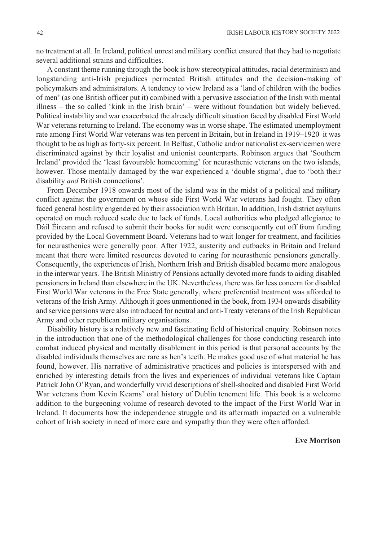no treatment at all. In Ireland, political unrest and military conflict ensured that they had to negotiate several additional strains and difficulties.

A constant theme running through the book is how stereotypical attitudes, racial determinism and longstanding anti-Irish prejudices permeated British attitudes and the decision-making of policymakers and administrators. A tendency to view Ireland as a 'land of children with the bodies of men' (as one British officer put it) combined with a pervasive association of the Irish with mental illness – the so called 'kink in the Irish brain' – were without foundation but widely believed. Political instability and war exacerbated the already difficult situation faced by disabled First World War veterans returning to Ireland. The economy was in worse shape. The estimated unemployment rate among First World War veterans was ten percent in Britain, but in Ireland in 1919–1920 it was thought to be as high as forty-six percent. In Belfast, Catholic and/or nationalist ex-servicemen were discriminated against by their loyalist and unionist counterparts. Robinson argues that 'Southern Ireland' provided the 'least favourable homecoming' for neurasthenic veterans on the two islands, however. Those mentally damaged by the war experienced a 'double stigma', due to 'both their disability *and* British connections'.

From December 1918 onwards most of the island was in the midst of a political and military conflict against the government on whose side First World War veterans had fought. They often faced general hostility engendered by their association with Britain. In addition, Irish district asylums operated on much reduced scale due to lack of funds. Local authorities who pledged allegiance to Dáil Éireann and refused to submit their books for audit were consequently cut off from funding provided by the Local Government Board. Veterans had to wait longer for treatment, and facilities for neurasthenics were generally poor. After 1922, austerity and cutbacks in Britain and Ireland meant that there were limited resources devoted to caring for neurasthenic pensioners generally. Consequently, the experiences of Irish, Northern Irish and British disabled became more analogous in the interwar years. The British Ministry of Pensions actually devoted more funds to aiding disabled pensioners in Ireland than elsewhere in the UK. Nevertheless, there was far less concern for disabled First World War veterans in the Free State generally, where preferential treatment was afforded to veterans of the Irish Army. Although it goes unmentioned in the book, from 1934 onwards disability and service pensions were also introduced for neutral and anti-Treaty veterans of the Irish Republican Army and other republican military organisations.

Disability history is a relatively new and fascinating field of historical enquiry. Robinson notes in the introduction that one of the methodological challenges for those conducting research into combat induced physical and mentally disablement in this period is that personal accounts by the disabled individuals themselves are rare as hen's teeth. He makes good use of what material he has found, however. His narrative of administrative practices and policies is interspersed with and enriched by interesting details from the lives and experiences of individual veterans like Captain Patrick John O'Ryan, and wonderfully vivid descriptions of shell-shocked and disabled First World War veterans from Kevin Kearns' oral history of Dublin tenement life. This book is a welcome addition to the burgeoning volume of research devoted to the impact of the First World War in Ireland. It documents how the independence struggle and its aftermath impacted on a vulnerable cohort of Irish society in need of more care and sympathy than they were often afforded.

#### **Eve Morrison**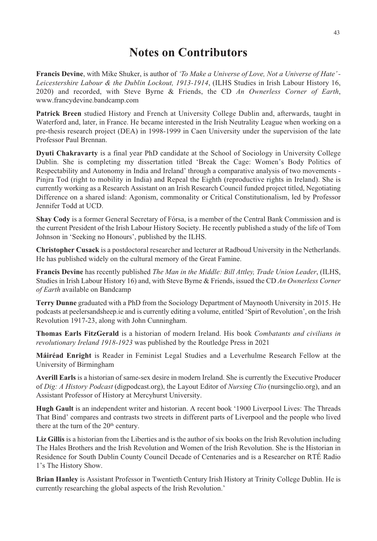# **Notes on Contributors**

**Francis Devine**, with Mike Shuker, is author of *'To Make a Universe of Love, Not a Universe of Hate' - Leicestershire Labour & the Dublin Lockout, 1913-1914*, (ILHS Studies in Irish Labour History 16, 2020) and recorded, with Steve Byrne & Friends, the CD *An Ownerless Corner of Earth*, www.francydevine.bandcamp.com

**Patrick Breen** studied History and French at University College Dublin and, afterwards, taught in Waterford and, later, in France. He became interested in the Irish Neutrality League when working on a pre-thesis research project (DEA) in 1998-1999 in Caen University under the supervision of the late Professor Paul Brennan.

**Dyuti Chakravarty** is a final year PhD candidate at the School of Sociology in University College Dublin. She is completing my dissertation titled 'Break the Cage: Women's Body Politics of Respectability and Autonomy in India and Ireland' through a comparative analysis of two movements - Pinjra Tod (right to mobility in India) and Repeal the Eighth (reproductive rights in Ireland). She is currently working as a Research Assistant on an Irish Research Council funded project titled, Negotiating Difference on a shared island: Agonism, commonality or Critical Constitutionalism, led by Professor Jennifer Todd at UCD.

**Shay Cody** is a former General Secretary of Fórsa, is a member of the Central Bank Commission and is the current President of the Irish Labour History Society. He recently published a study of the life of Tom Johnson in 'Seeking no Honours', published by the ILHS.

**Christopher Cusack** is a postdoctoral researcher and lecturer at Radboud University in the Netherlands. He has published widely on the cultural memory of the Great Famine.

**Francis Devine** has recently published *The Man in the Middle: Bill Attley, Trade Union Leader*, (ILHS, Studies in Irish Labour History 16) and, with Steve Byrne & Friends, issued the CD *An Ownerless Corner of Earth* available on Bandcamp

**Terry Dunne** graduated with a PhD from the Sociology Department of Maynooth University in 2015. He podcasts at peelersandsheep.ie and is currently editing a volume, entitled 'Spirt of Revolution', on the Irish Revolution 1917-23, along with John Cunningham.

**Thomas Earls FitzGerald** is a historian of modern Ireland. His book *Combatants and civilians in revolutionary Ireland 1918-1923* was published by the Routledge Press in 2021

**Máiréad Enright** is Reader in Feminist Legal Studies and a Leverhulme Research Fellow at the University of Birmingham

**Averill Earls** is a historian of same-sex desire in modern Ireland. She is currently the Executive Producer of *Dig: A History Podcast* (digpodcast.org), the Layout Editor of *Nursing Clio* (nursingclio.org), and an Assistant Professor of History at Mercyhurst University.

**Hugh Gault** is an independent writer and historian. A recent book '1900 Liverpool Lives: The Threads That Bind' compares and contrasts two streets in different parts of Liverpool and the people who lived there at the turn of the  $20<sup>th</sup>$  century.

**Liz Gillis** is a historian from the Liberties and is the author of six books on the Irish Revolution including The Hales Brothers and the Irish Revolution and Women of the Irish Revolution. She is the Historian in Residence for South Dublin County Council Decade of Centenaries and is a Researcher on RTÉ Radio 1's The History Show.

**Brian Hanley** is Assistant Professor in Twentieth Century Irish History at Trinity College Dublin. He is currently researching the global aspects of the Irish Revolution.'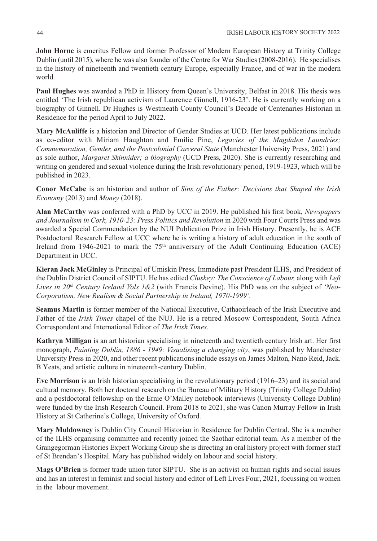**John Horne** is emeritus Fellow and former Professor of Modern European History at Trinity College Dublin (until 2015), where he was also founder of the Centre for War Studies (2008-2016). He specialises in the history of nineteenth and twentieth century Europe, especially France, and of war in the modern world.

**Paul Hughes** was awarded a PhD in History from Queen's University, Belfast in 2018. His thesis was entitled 'The Irish republican activism of Laurence Ginnell, 1916-23'. He is currently working on a biography of Ginnell. Dr Hughes is Westmeath County Council's Decade of Centenaries Historian in Residence for the period April to July 2022.

**Mary McAuliffe** is a historian and Director of Gender Studies at UCD. Her latest publications include as co-editor with Miriam Haughton and Emilie Pine, *Legacies of the Magdalen Laundries; Commemoration, Gender, and the Postcolonial Carceral State* (Manchester University Press, 2021) and as sole author, *Margaret Skinnider; a biography* (UCD Press, 2020). She is currently researching and writing on gendered and sexual violence during the Irish revolutionary period, 1919-1923, which will be published in 2023.

**Conor McCabe** is an historian and author of *Sins of the Father: Decisions that Shaped the Irish Economy* (2013) and *Money* (2018).

**Alan McCarthy** was conferred with a PhD by UCC in 2019. He published his first book, *Newspapers and Journalism in Cork, 1910-23: Press Politics and Revolution* in 2020 with Four Courts Press and was awarded a Special Commendation by the NUI Publication Prize in Irish History. Presently, he is ACE Postdoctoral Research Fellow at UCC where he is writing a history of adult education in the south of Ireland from 1946-2021 to mark the  $75<sup>th</sup>$  anniversary of the Adult Continuing Education (ACE) Department in UCC.

**Kieran Jack McGinley** is Principal of Umiskin Press, Immediate past President ILHS, and President of the Dublin District Council of SIPTU. He has edited *Cluskey: The Conscience of Labour,* along with *Left Lives in 20th Century Ireland Vols 1&2* (with Francis Devine). His PhD was on the subject of *'Neo-Corporatism, New Realism & Social Partnership in Ireland, 1970-1999'.*

**Seamus Martin** is former member of the National Executive, Cathaoirleach of the Irish Executive and Father of the *Irish Times* chapel of the NUJ. He is a retired Moscow Correspondent, South Africa Correspondent and International Editor of *The Irish Times*.

**Kathryn Milligan** is an art historian specialising in nineteenth and twentieth century Irish art. Her first monograph, *Painting Dublin, 1886 - 1949: Visualising a changing city*, was published by Manchester University Press in 2020, and other recent publications include essays on James Malton, Nano Reid, Jack. B Yeats, and artistic culture in nineteenth-century Dublin.

**Eve Morrison** is an Irish historian specialising in the revolutionary period (1916–23) and its social and cultural memory. Both her doctoral research on the Bureau of Military History (Trinity College Dublin) and a postdoctoral fellowship on the Ernie O'Malley notebook interviews (University College Dublin) were funded by the Irish Research Council. From 2018 to 2021, she was Canon Murray Fellow in Irish History at St Catherine's College, University of Oxford.

**Mary Muldowney** is Dublin City Council Historian in Residence for Dublin Central. She is a member of the ILHS organising committee and recently joined the Saothar editorial team. As a member of the Grangegorman Histories Expert Working Group she is directing an oral history project with former staff of St Brendan's Hospital. Mary has published widely on labour and social history.

**Mags O'Brien** is former trade union tutor SIPTU. She is an activist on human rights and social issues and has an interest in feminist and social history and editor of Left Lives Four, 2021, focussing on women in the labour movement.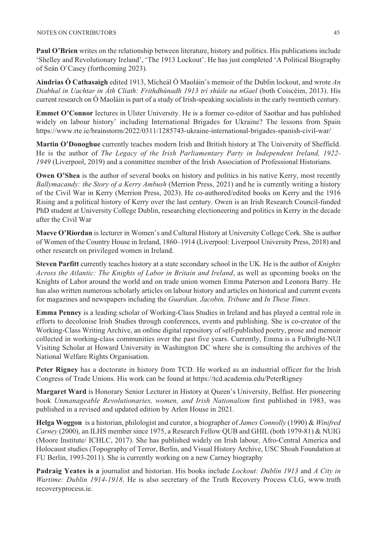**Paul O'Brien** writes on the relationship between literature, history and politics. His publications include 'Shelley and Revolutionary Ireland', 'The 1913 Lockout'. He has just completed 'A Political Biography of Seán O'Casey (forthcoming 2023).

**Aindrias Ó Cathasaigh** edited 1913, Mícheál Ó Maoláin's memoir of the Dublin lockout, and wrote *An Diabhal in Uachtar in Áth Cliath: Frithdhúnadh 1913 trí shúile na nGael* (both Coiscéim, 2013). His current research on Ó Maoláin is part of a study of Irish-speaking socialists in the early twentieth century.

**Emmet O'Connor** lectures in Ulster University. He is a former co-editor of Saothar and has published widely on labour history' including International Brigades for Ukraine? The lessons from Spain https://www.rte.ie/brainstorm/2022/0311/1285743-ukraine-international-brigades-spanish-civil-war/

**Martin O'Donoghue** currently teaches modern Irish and British history at The University of Sheffield. He is the author of *The Legacy of the Irish Parliamentary Party in Independent Ireland, 1922- 1949* (Liverpool, 2019) and a committee member of the Irish Association of Professional Historians.

**Owen O'Shea** is the author of several books on history and politics in his native Kerry, most recently *Ballymacandy: the Story of a Kerry Ambush* (Merrion Press, 2021) and he is currently writing a history of the Civil War in Kerry (Merrion Press, 2023). He co-authored/edited books on Kerry and the 1916 Rising and a political history of Kerry over the last century. Owen is an Irish Research Council-funded PhD student at University College Dublin, researching electioneering and politics in Kerry in the decade after the Civil War

**Maeve O'Riordan** is lecturer in Women's and Cultural History at University College Cork. She is author of Women of the Country House in Ireland, 1860–1914 (Liverpool: Liverpool University Press, 2018) and other research on privileged women in Ireland.

**Steven Parfitt** currently teaches history at a state secondary school in the UK. He is the author of *Knights Across the Atlantic: The Knights of Labor in Britain and Ireland*, as well as upcoming books on the Knights of Labor around the world and on trade union women Emma Paterson and Leonora Barry. He has also written numerous scholarly articles on labour history and articles on historical and current events for magazines and newspapers including the *Guardian, Jacobin, Tribune* and *In These Times*.

**Emma Penney** is a leading scholar of Working-Class Studies in Ireland and has played a central role in efforts to decolonise Irish Studies through conferences, events and publishing. She is co-creator of the Working-Class Writing Archive, an online digital repository of self-published poetry, prose and memoir collected in working-class communities over the past five years. Currently, Emma is a Fulbright-NUI Visiting Scholar at Howard University in Washington DC where she is consulting the archives of the National Welfare Rights Organisation.

**Peter Rigney** has a doctorate in history from TCD. He worked as an industrial officer for the Irish Congress of Trade Unions. His work can be found at https://tcd.academia.edu/PeterRigney

**Margaret Ward** is Honorary Senior Lecturer in History at Queen's University, Belfast. Her pioneering book *Unmanageable Revolutionaries, women, and Irish Nationalism* first published in 1983, was published in a revised and updated edition by Arlen House in 2021.

**Helga Woggon** is a historian, philologist and curator, a biographer of *James Connolly* (1990) & *Winifred Carney* (2000), an ILHS member since 1975, a Research Fellow QUB and GHIL (both 1979-81) & NUIG (Moore Institute/ ICHLC, 2017). She has published widely on Irish labour, Afro-Central America and Holocaust studies (Topography of Terror, Berlin, and Visual History Archive, USC Shoah Foundation at FU Berlin, 1993-2011). She is currently working on a new Carney biography

**Padraig Yeates is a** journalist and historian. His books include *Lockout: Dublin 1913* and *A City in Wartime: Dublin 1914-1918*. He is also secretary of the Truth Recovery Process CLG, www.truth recoveryprocess.ie.